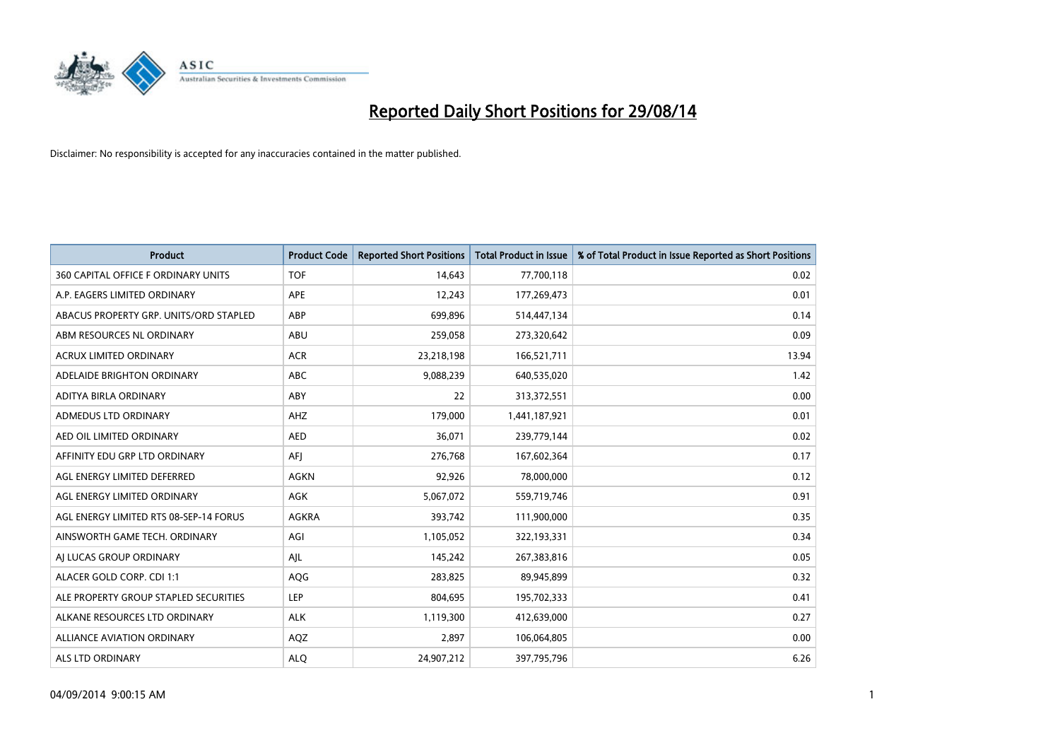

| <b>Product</b>                         | <b>Product Code</b> | <b>Reported Short Positions</b> | <b>Total Product in Issue</b> | % of Total Product in Issue Reported as Short Positions |
|----------------------------------------|---------------------|---------------------------------|-------------------------------|---------------------------------------------------------|
| 360 CAPITAL OFFICE F ORDINARY UNITS    | <b>TOF</b>          | 14,643                          | 77,700,118                    | 0.02                                                    |
| A.P. EAGERS LIMITED ORDINARY           | APE                 | 12,243                          | 177,269,473                   | 0.01                                                    |
| ABACUS PROPERTY GRP. UNITS/ORD STAPLED | ABP                 | 699,896                         | 514,447,134                   | 0.14                                                    |
| ABM RESOURCES NL ORDINARY              | ABU                 | 259,058                         | 273,320,642                   | 0.09                                                    |
| <b>ACRUX LIMITED ORDINARY</b>          | <b>ACR</b>          | 23,218,198                      | 166,521,711                   | 13.94                                                   |
| ADELAIDE BRIGHTON ORDINARY             | <b>ABC</b>          | 9,088,239                       | 640,535,020                   | 1.42                                                    |
| ADITYA BIRLA ORDINARY                  | ABY                 | 22                              | 313,372,551                   | 0.00                                                    |
| ADMEDUS LTD ORDINARY                   | AHZ                 | 179,000                         | 1,441,187,921                 | 0.01                                                    |
| AED OIL LIMITED ORDINARY               | <b>AED</b>          | 36,071                          | 239,779,144                   | 0.02                                                    |
| AFFINITY EDU GRP LTD ORDINARY          | AFI                 | 276,768                         | 167,602,364                   | 0.17                                                    |
| AGL ENERGY LIMITED DEFERRED            | AGKN                | 92,926                          | 78,000,000                    | 0.12                                                    |
| AGL ENERGY LIMITED ORDINARY            | AGK                 | 5,067,072                       | 559,719,746                   | 0.91                                                    |
| AGL ENERGY LIMITED RTS 08-SEP-14 FORUS | AGKRA               | 393,742                         | 111,900,000                   | 0.35                                                    |
| AINSWORTH GAME TECH. ORDINARY          | AGI                 | 1,105,052                       | 322,193,331                   | 0.34                                                    |
| AI LUCAS GROUP ORDINARY                | AJL                 | 145,242                         | 267,383,816                   | 0.05                                                    |
| ALACER GOLD CORP. CDI 1:1              | AQG                 | 283,825                         | 89,945,899                    | 0.32                                                    |
| ALE PROPERTY GROUP STAPLED SECURITIES  | LEP                 | 804,695                         | 195,702,333                   | 0.41                                                    |
| ALKANE RESOURCES LTD ORDINARY          | <b>ALK</b>          | 1,119,300                       | 412,639,000                   | 0.27                                                    |
| <b>ALLIANCE AVIATION ORDINARY</b>      | AQZ                 | 2,897                           | 106,064,805                   | 0.00                                                    |
| ALS LTD ORDINARY                       | <b>ALO</b>          | 24,907,212                      | 397,795,796                   | 6.26                                                    |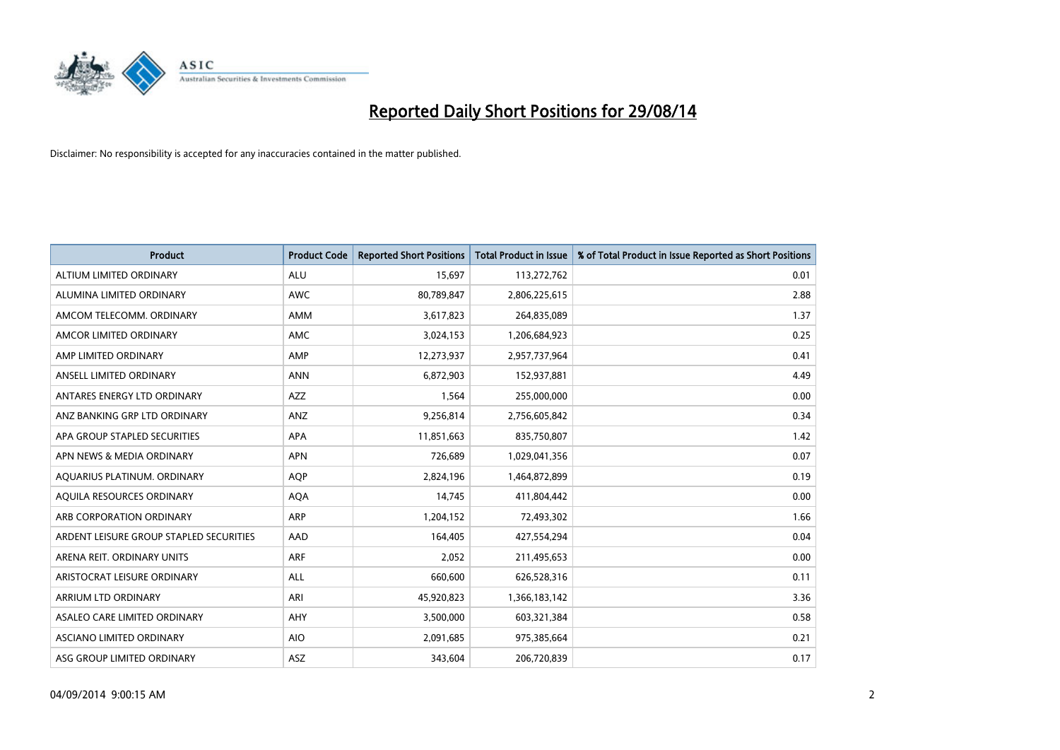

| <b>Product</b>                          | <b>Product Code</b> | <b>Reported Short Positions</b> | <b>Total Product in Issue</b> | % of Total Product in Issue Reported as Short Positions |
|-----------------------------------------|---------------------|---------------------------------|-------------------------------|---------------------------------------------------------|
| ALTIUM LIMITED ORDINARY                 | <b>ALU</b>          | 15,697                          | 113,272,762                   | 0.01                                                    |
| ALUMINA LIMITED ORDINARY                | <b>AWC</b>          | 80,789,847                      | 2,806,225,615                 | 2.88                                                    |
| AMCOM TELECOMM, ORDINARY                | <b>AMM</b>          | 3,617,823                       | 264,835,089                   | 1.37                                                    |
| AMCOR LIMITED ORDINARY                  | AMC                 | 3,024,153                       | 1,206,684,923                 | 0.25                                                    |
| AMP LIMITED ORDINARY                    | AMP                 | 12,273,937                      | 2,957,737,964                 | 0.41                                                    |
| ANSELL LIMITED ORDINARY                 | <b>ANN</b>          | 6,872,903                       | 152,937,881                   | 4.49                                                    |
| ANTARES ENERGY LTD ORDINARY             | <b>AZZ</b>          | 1,564                           | 255,000,000                   | 0.00                                                    |
| ANZ BANKING GRP LTD ORDINARY            | ANZ                 | 9,256,814                       | 2,756,605,842                 | 0.34                                                    |
| APA GROUP STAPLED SECURITIES            | <b>APA</b>          | 11,851,663                      | 835,750,807                   | 1.42                                                    |
| APN NEWS & MEDIA ORDINARY               | <b>APN</b>          | 726,689                         | 1,029,041,356                 | 0.07                                                    |
| AQUARIUS PLATINUM. ORDINARY             | AQP                 | 2,824,196                       | 1,464,872,899                 | 0.19                                                    |
| AQUILA RESOURCES ORDINARY               | <b>AQA</b>          | 14,745                          | 411,804,442                   | 0.00                                                    |
| ARB CORPORATION ORDINARY                | <b>ARP</b>          | 1,204,152                       | 72,493,302                    | 1.66                                                    |
| ARDENT LEISURE GROUP STAPLED SECURITIES | AAD                 | 164,405                         | 427,554,294                   | 0.04                                                    |
| ARENA REIT. ORDINARY UNITS              | <b>ARF</b>          | 2,052                           | 211,495,653                   | 0.00                                                    |
| ARISTOCRAT LEISURE ORDINARY             | ALL                 | 660,600                         | 626,528,316                   | 0.11                                                    |
| ARRIUM LTD ORDINARY                     | ARI                 | 45,920,823                      | 1,366,183,142                 | 3.36                                                    |
| ASALEO CARE LIMITED ORDINARY            | <b>AHY</b>          | 3,500,000                       | 603,321,384                   | 0.58                                                    |
| ASCIANO LIMITED ORDINARY                | <b>AIO</b>          | 2,091,685                       | 975,385,664                   | 0.21                                                    |
| ASG GROUP LIMITED ORDINARY              | ASZ                 | 343,604                         | 206,720,839                   | 0.17                                                    |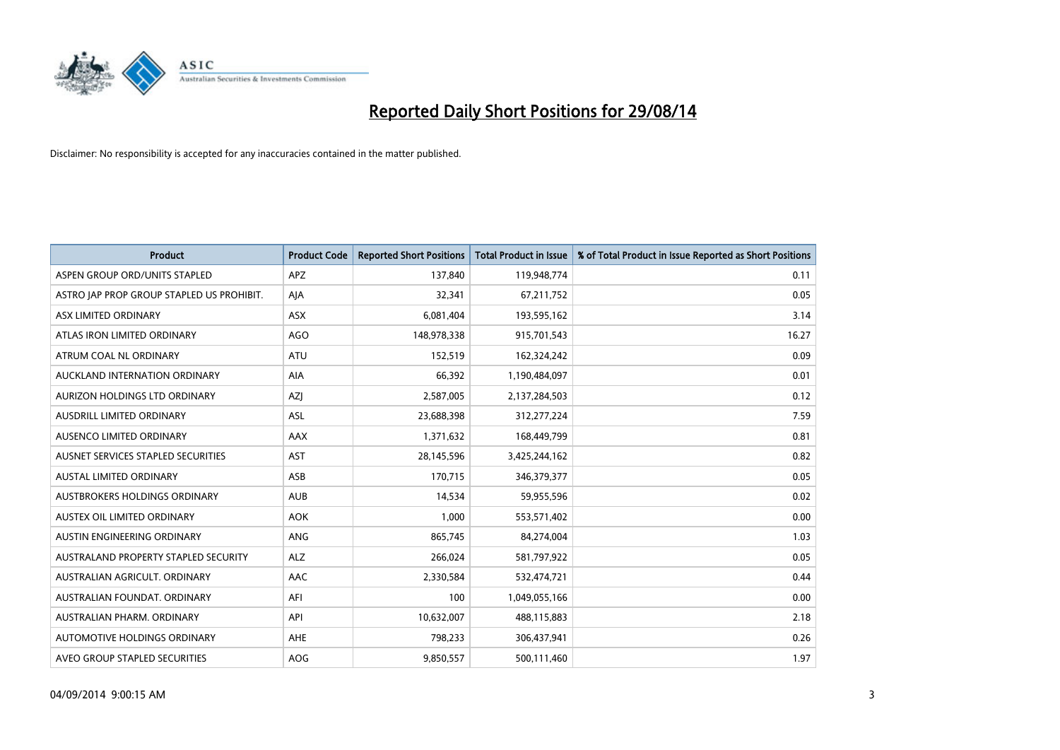

| <b>Product</b>                            | <b>Product Code</b> | <b>Reported Short Positions</b> | <b>Total Product in Issue</b> | % of Total Product in Issue Reported as Short Positions |
|-------------------------------------------|---------------------|---------------------------------|-------------------------------|---------------------------------------------------------|
| ASPEN GROUP ORD/UNITS STAPLED             | <b>APZ</b>          | 137,840                         | 119,948,774                   | 0.11                                                    |
| ASTRO JAP PROP GROUP STAPLED US PROHIBIT. | AJA                 | 32,341                          | 67,211,752                    | 0.05                                                    |
| ASX LIMITED ORDINARY                      | <b>ASX</b>          | 6,081,404                       | 193,595,162                   | 3.14                                                    |
| ATLAS IRON LIMITED ORDINARY               | AGO                 | 148,978,338                     | 915,701,543                   | 16.27                                                   |
| ATRUM COAL NL ORDINARY                    | ATU                 | 152,519                         | 162,324,242                   | 0.09                                                    |
| AUCKLAND INTERNATION ORDINARY             | <b>AIA</b>          | 66,392                          | 1,190,484,097                 | 0.01                                                    |
| AURIZON HOLDINGS LTD ORDINARY             | AZJ                 | 2,587,005                       | 2,137,284,503                 | 0.12                                                    |
| AUSDRILL LIMITED ORDINARY                 | ASL                 | 23,688,398                      | 312,277,224                   | 7.59                                                    |
| AUSENCO LIMITED ORDINARY                  | AAX                 | 1,371,632                       | 168,449,799                   | 0.81                                                    |
| AUSNET SERVICES STAPLED SECURITIES        | <b>AST</b>          | 28,145,596                      | 3,425,244,162                 | 0.82                                                    |
| AUSTAL LIMITED ORDINARY                   | ASB                 | 170,715                         | 346,379,377                   | 0.05                                                    |
| AUSTBROKERS HOLDINGS ORDINARY             | <b>AUB</b>          | 14,534                          | 59,955,596                    | 0.02                                                    |
| AUSTEX OIL LIMITED ORDINARY               | <b>AOK</b>          | 1,000                           | 553,571,402                   | 0.00                                                    |
| AUSTIN ENGINEERING ORDINARY               | ANG                 | 865,745                         | 84,274,004                    | 1.03                                                    |
| AUSTRALAND PROPERTY STAPLED SECURITY      | <b>ALZ</b>          | 266,024                         | 581,797,922                   | 0.05                                                    |
| AUSTRALIAN AGRICULT. ORDINARY             | AAC                 | 2,330,584                       | 532,474,721                   | 0.44                                                    |
| AUSTRALIAN FOUNDAT. ORDINARY              | AFI                 | 100                             | 1,049,055,166                 | 0.00                                                    |
| AUSTRALIAN PHARM. ORDINARY                | API                 | 10,632,007                      | 488,115,883                   | 2.18                                                    |
| AUTOMOTIVE HOLDINGS ORDINARY              | AHE                 | 798,233                         | 306,437,941                   | 0.26                                                    |
| AVEO GROUP STAPLED SECURITIES             | AOG                 | 9,850,557                       | 500,111,460                   | 1.97                                                    |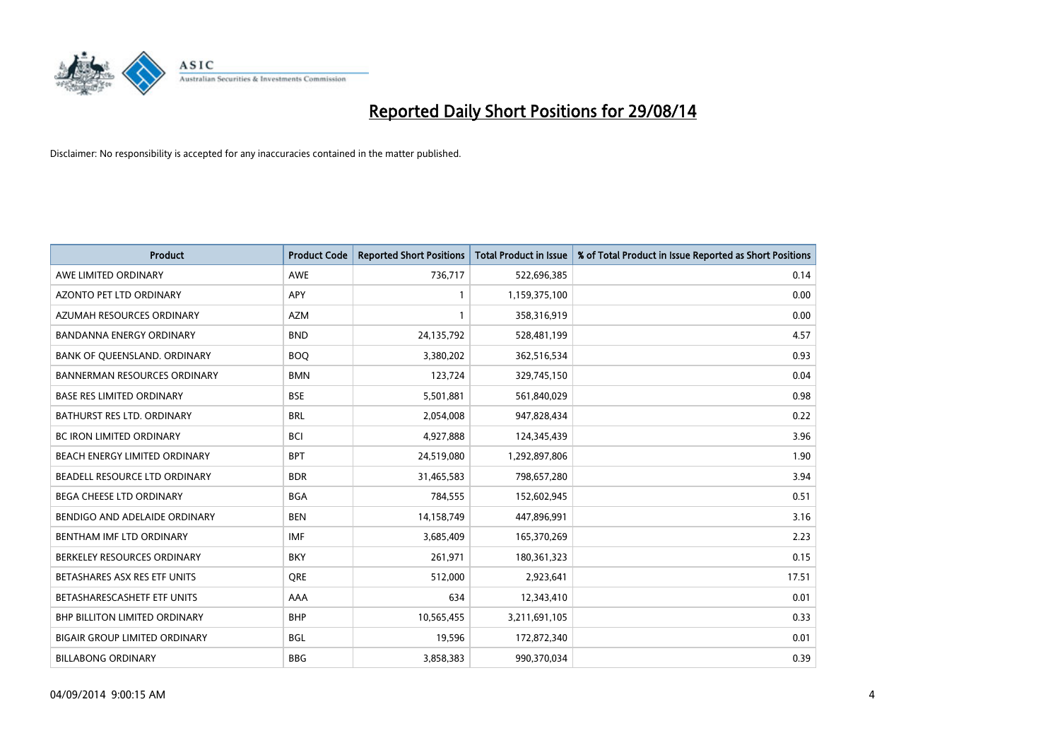

| <b>Product</b>                       | <b>Product Code</b> | <b>Reported Short Positions</b> | <b>Total Product in Issue</b> | % of Total Product in Issue Reported as Short Positions |
|--------------------------------------|---------------------|---------------------------------|-------------------------------|---------------------------------------------------------|
| AWE LIMITED ORDINARY                 | <b>AWE</b>          | 736,717                         | 522,696,385                   | 0.14                                                    |
| AZONTO PET LTD ORDINARY              | APY                 | $\mathbf{1}$                    | 1,159,375,100                 | 0.00                                                    |
| AZUMAH RESOURCES ORDINARY            | <b>AZM</b>          | $\mathbf{1}$                    | 358,316,919                   | 0.00                                                    |
| BANDANNA ENERGY ORDINARY             | <b>BND</b>          | 24,135,792                      | 528,481,199                   | 4.57                                                    |
| BANK OF QUEENSLAND. ORDINARY         | <b>BOQ</b>          | 3,380,202                       | 362,516,534                   | 0.93                                                    |
| <b>BANNERMAN RESOURCES ORDINARY</b>  | <b>BMN</b>          | 123,724                         | 329,745,150                   | 0.04                                                    |
| <b>BASE RES LIMITED ORDINARY</b>     | <b>BSE</b>          | 5,501,881                       | 561,840,029                   | 0.98                                                    |
| <b>BATHURST RES LTD. ORDINARY</b>    | <b>BRL</b>          | 2,054,008                       | 947,828,434                   | 0.22                                                    |
| <b>BC IRON LIMITED ORDINARY</b>      | <b>BCI</b>          | 4,927,888                       | 124,345,439                   | 3.96                                                    |
| BEACH ENERGY LIMITED ORDINARY        | <b>BPT</b>          | 24,519,080                      | 1,292,897,806                 | 1.90                                                    |
| BEADELL RESOURCE LTD ORDINARY        | <b>BDR</b>          | 31,465,583                      | 798,657,280                   | 3.94                                                    |
| <b>BEGA CHEESE LTD ORDINARY</b>      | <b>BGA</b>          | 784,555                         | 152,602,945                   | 0.51                                                    |
| BENDIGO AND ADELAIDE ORDINARY        | <b>BEN</b>          | 14,158,749                      | 447,896,991                   | 3.16                                                    |
| BENTHAM IMF LTD ORDINARY             | <b>IMF</b>          | 3,685,409                       | 165,370,269                   | 2.23                                                    |
| BERKELEY RESOURCES ORDINARY          | <b>BKY</b>          | 261,971                         | 180,361,323                   | 0.15                                                    |
| BETASHARES ASX RES ETF UNITS         | <b>ORE</b>          | 512,000                         | 2,923,641                     | 17.51                                                   |
| BETASHARESCASHETF ETF UNITS          | AAA                 | 634                             | 12,343,410                    | 0.01                                                    |
| <b>BHP BILLITON LIMITED ORDINARY</b> | <b>BHP</b>          | 10,565,455                      | 3,211,691,105                 | 0.33                                                    |
| <b>BIGAIR GROUP LIMITED ORDINARY</b> | <b>BGL</b>          | 19,596                          | 172,872,340                   | 0.01                                                    |
| <b>BILLABONG ORDINARY</b>            | <b>BBG</b>          | 3,858,383                       | 990,370,034                   | 0.39                                                    |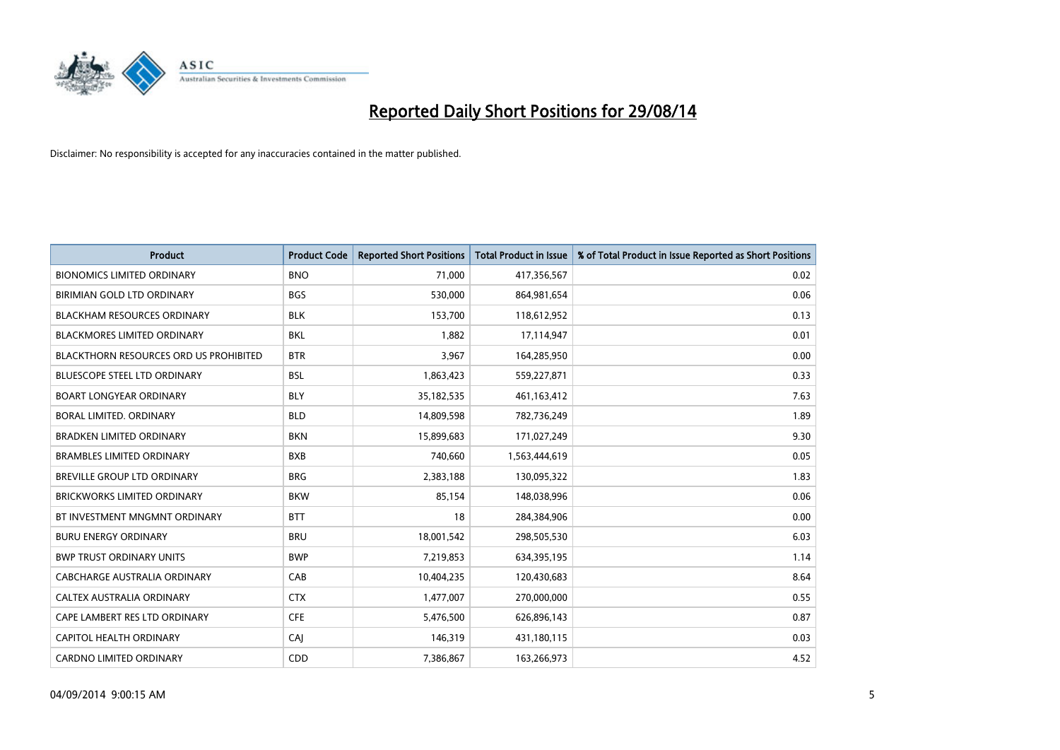

| <b>Product</b>                                | <b>Product Code</b> | <b>Reported Short Positions</b> | <b>Total Product in Issue</b> | % of Total Product in Issue Reported as Short Positions |
|-----------------------------------------------|---------------------|---------------------------------|-------------------------------|---------------------------------------------------------|
| <b>BIONOMICS LIMITED ORDINARY</b>             | <b>BNO</b>          | 71,000                          | 417,356,567                   | 0.02                                                    |
| BIRIMIAN GOLD LTD ORDINARY                    | <b>BGS</b>          | 530,000                         | 864,981,654                   | 0.06                                                    |
| <b>BLACKHAM RESOURCES ORDINARY</b>            | <b>BLK</b>          | 153,700                         | 118,612,952                   | 0.13                                                    |
| <b>BLACKMORES LIMITED ORDINARY</b>            | <b>BKL</b>          | 1,882                           | 17,114,947                    | 0.01                                                    |
| <b>BLACKTHORN RESOURCES ORD US PROHIBITED</b> | <b>BTR</b>          | 3,967                           | 164,285,950                   | 0.00                                                    |
| <b>BLUESCOPE STEEL LTD ORDINARY</b>           | <b>BSL</b>          | 1,863,423                       | 559,227,871                   | 0.33                                                    |
| <b>BOART LONGYEAR ORDINARY</b>                | <b>BLY</b>          | 35,182,535                      | 461,163,412                   | 7.63                                                    |
| BORAL LIMITED, ORDINARY                       | <b>BLD</b>          | 14,809,598                      | 782,736,249                   | 1.89                                                    |
| <b>BRADKEN LIMITED ORDINARY</b>               | <b>BKN</b>          | 15,899,683                      | 171,027,249                   | 9.30                                                    |
| <b>BRAMBLES LIMITED ORDINARY</b>              | <b>BXB</b>          | 740,660                         | 1,563,444,619                 | 0.05                                                    |
| BREVILLE GROUP LTD ORDINARY                   | <b>BRG</b>          | 2,383,188                       | 130,095,322                   | 1.83                                                    |
| <b>BRICKWORKS LIMITED ORDINARY</b>            | <b>BKW</b>          | 85,154                          | 148,038,996                   | 0.06                                                    |
| BT INVESTMENT MNGMNT ORDINARY                 | <b>BTT</b>          | 18                              | 284,384,906                   | 0.00                                                    |
| <b>BURU ENERGY ORDINARY</b>                   | <b>BRU</b>          | 18,001,542                      | 298,505,530                   | 6.03                                                    |
| <b>BWP TRUST ORDINARY UNITS</b>               | <b>BWP</b>          | 7,219,853                       | 634,395,195                   | 1.14                                                    |
| CABCHARGE AUSTRALIA ORDINARY                  | CAB                 | 10,404,235                      | 120,430,683                   | 8.64                                                    |
| CALTEX AUSTRALIA ORDINARY                     | <b>CTX</b>          | 1,477,007                       | 270,000,000                   | 0.55                                                    |
| CAPE LAMBERT RES LTD ORDINARY                 | <b>CFE</b>          | 5,476,500                       | 626,896,143                   | 0.87                                                    |
| <b>CAPITOL HEALTH ORDINARY</b>                | CAJ                 | 146,319                         | 431,180,115                   | 0.03                                                    |
| <b>CARDNO LIMITED ORDINARY</b>                | CDD                 | 7,386,867                       | 163,266,973                   | 4.52                                                    |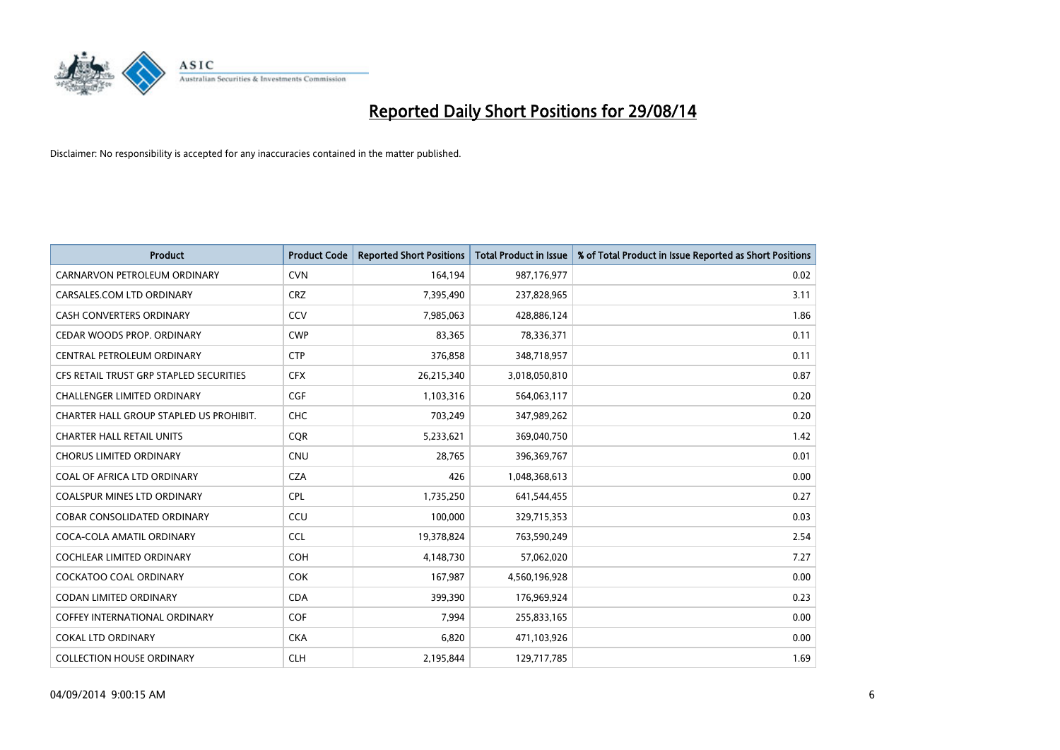

| <b>Product</b>                          | <b>Product Code</b> | <b>Reported Short Positions</b> | <b>Total Product in Issue</b> | % of Total Product in Issue Reported as Short Positions |
|-----------------------------------------|---------------------|---------------------------------|-------------------------------|---------------------------------------------------------|
| CARNARVON PETROLEUM ORDINARY            | <b>CVN</b>          | 164,194                         | 987,176,977                   | 0.02                                                    |
| CARSALES.COM LTD ORDINARY               | <b>CRZ</b>          | 7,395,490                       | 237,828,965                   | 3.11                                                    |
| <b>CASH CONVERTERS ORDINARY</b>         | CCV                 | 7,985,063                       | 428,886,124                   | 1.86                                                    |
| CEDAR WOODS PROP. ORDINARY              | <b>CWP</b>          | 83,365                          | 78,336,371                    | 0.11                                                    |
| CENTRAL PETROLEUM ORDINARY              | <b>CTP</b>          | 376,858                         | 348,718,957                   | 0.11                                                    |
| CFS RETAIL TRUST GRP STAPLED SECURITIES | <b>CFX</b>          | 26,215,340                      | 3,018,050,810                 | 0.87                                                    |
| <b>CHALLENGER LIMITED ORDINARY</b>      | <b>CGF</b>          | 1,103,316                       | 564,063,117                   | 0.20                                                    |
| CHARTER HALL GROUP STAPLED US PROHIBIT. | <b>CHC</b>          | 703,249                         | 347,989,262                   | 0.20                                                    |
| <b>CHARTER HALL RETAIL UNITS</b>        | <b>CQR</b>          | 5,233,621                       | 369,040,750                   | 1.42                                                    |
| <b>CHORUS LIMITED ORDINARY</b>          | <b>CNU</b>          | 28,765                          | 396,369,767                   | 0.01                                                    |
| COAL OF AFRICA LTD ORDINARY             | <b>CZA</b>          | 426                             | 1,048,368,613                 | 0.00                                                    |
| <b>COALSPUR MINES LTD ORDINARY</b>      | <b>CPL</b>          | 1,735,250                       | 641,544,455                   | 0.27                                                    |
| COBAR CONSOLIDATED ORDINARY             | CCU                 | 100,000                         | 329,715,353                   | 0.03                                                    |
| COCA-COLA AMATIL ORDINARY               | <b>CCL</b>          | 19,378,824                      | 763,590,249                   | 2.54                                                    |
| <b>COCHLEAR LIMITED ORDINARY</b>        | <b>COH</b>          | 4,148,730                       | 57,062,020                    | 7.27                                                    |
| <b>COCKATOO COAL ORDINARY</b>           | COK                 | 167,987                         | 4,560,196,928                 | 0.00                                                    |
| CODAN LIMITED ORDINARY                  | <b>CDA</b>          | 399,390                         | 176,969,924                   | 0.23                                                    |
| <b>COFFEY INTERNATIONAL ORDINARY</b>    | <b>COF</b>          | 7,994                           | 255,833,165                   | 0.00                                                    |
| <b>COKAL LTD ORDINARY</b>               | <b>CKA</b>          | 6,820                           | 471,103,926                   | 0.00                                                    |
| <b>COLLECTION HOUSE ORDINARY</b>        | <b>CLH</b>          | 2,195,844                       | 129,717,785                   | 1.69                                                    |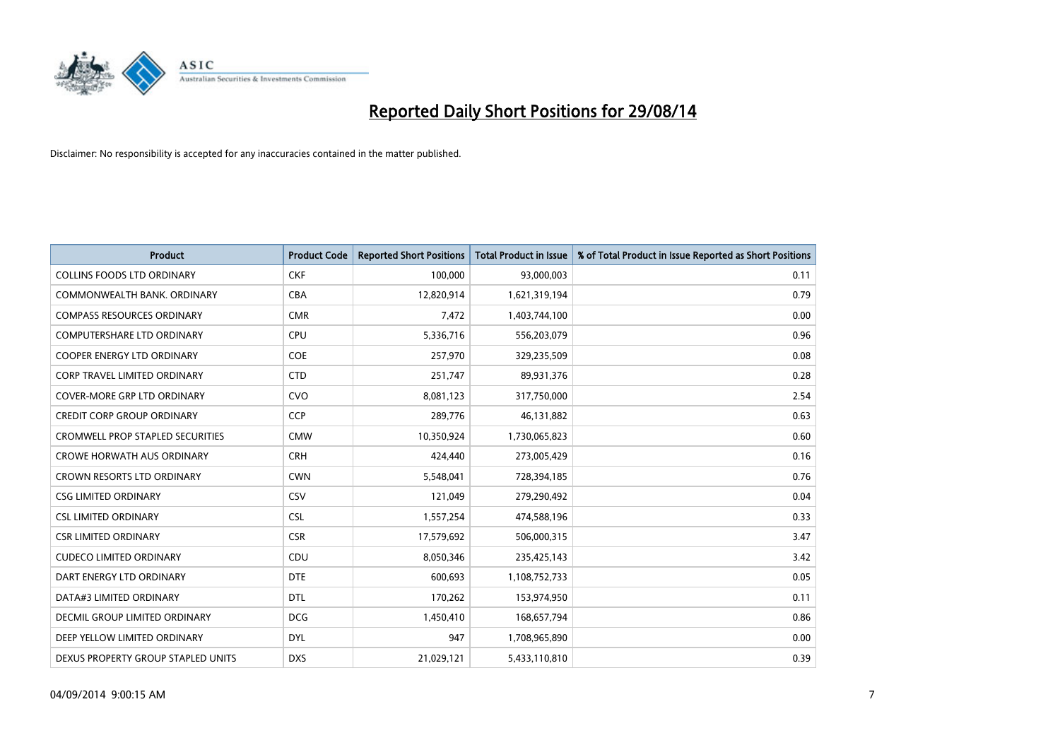

| <b>Product</b>                          | <b>Product Code</b> | <b>Reported Short Positions</b> | <b>Total Product in Issue</b> | % of Total Product in Issue Reported as Short Positions |
|-----------------------------------------|---------------------|---------------------------------|-------------------------------|---------------------------------------------------------|
| <b>COLLINS FOODS LTD ORDINARY</b>       | <b>CKF</b>          | 100,000                         | 93,000,003                    | 0.11                                                    |
| COMMONWEALTH BANK, ORDINARY             | <b>CBA</b>          | 12,820,914                      | 1,621,319,194                 | 0.79                                                    |
| <b>COMPASS RESOURCES ORDINARY</b>       | <b>CMR</b>          | 7,472                           | 1,403,744,100                 | 0.00                                                    |
| <b>COMPUTERSHARE LTD ORDINARY</b>       | <b>CPU</b>          | 5,336,716                       | 556,203,079                   | 0.96                                                    |
| <b>COOPER ENERGY LTD ORDINARY</b>       | <b>COE</b>          | 257,970                         | 329,235,509                   | 0.08                                                    |
| <b>CORP TRAVEL LIMITED ORDINARY</b>     | <b>CTD</b>          | 251,747                         | 89,931,376                    | 0.28                                                    |
| COVER-MORE GRP LTD ORDINARY             | <b>CVO</b>          | 8,081,123                       | 317,750,000                   | 2.54                                                    |
| <b>CREDIT CORP GROUP ORDINARY</b>       | <b>CCP</b>          | 289,776                         | 46,131,882                    | 0.63                                                    |
| <b>CROMWELL PROP STAPLED SECURITIES</b> | <b>CMW</b>          | 10,350,924                      | 1,730,065,823                 | 0.60                                                    |
| <b>CROWE HORWATH AUS ORDINARY</b>       | <b>CRH</b>          | 424,440                         | 273,005,429                   | 0.16                                                    |
| CROWN RESORTS LTD ORDINARY              | <b>CWN</b>          | 5,548,041                       | 728,394,185                   | 0.76                                                    |
| <b>CSG LIMITED ORDINARY</b>             | CSV                 | 121,049                         | 279,290,492                   | 0.04                                                    |
| <b>CSL LIMITED ORDINARY</b>             | <b>CSL</b>          | 1,557,254                       | 474,588,196                   | 0.33                                                    |
| <b>CSR LIMITED ORDINARY</b>             | <b>CSR</b>          | 17,579,692                      | 506,000,315                   | 3.47                                                    |
| <b>CUDECO LIMITED ORDINARY</b>          | CDU                 | 8,050,346                       | 235,425,143                   | 3.42                                                    |
| DART ENERGY LTD ORDINARY                | <b>DTE</b>          | 600,693                         | 1,108,752,733                 | 0.05                                                    |
| DATA#3 LIMITED ORDINARY                 | DTL                 | 170,262                         | 153,974,950                   | 0.11                                                    |
| DECMIL GROUP LIMITED ORDINARY           | <b>DCG</b>          | 1,450,410                       | 168,657,794                   | 0.86                                                    |
| DEEP YELLOW LIMITED ORDINARY            | <b>DYL</b>          | 947                             | 1,708,965,890                 | 0.00                                                    |
| DEXUS PROPERTY GROUP STAPLED UNITS      | <b>DXS</b>          | 21,029,121                      | 5,433,110,810                 | 0.39                                                    |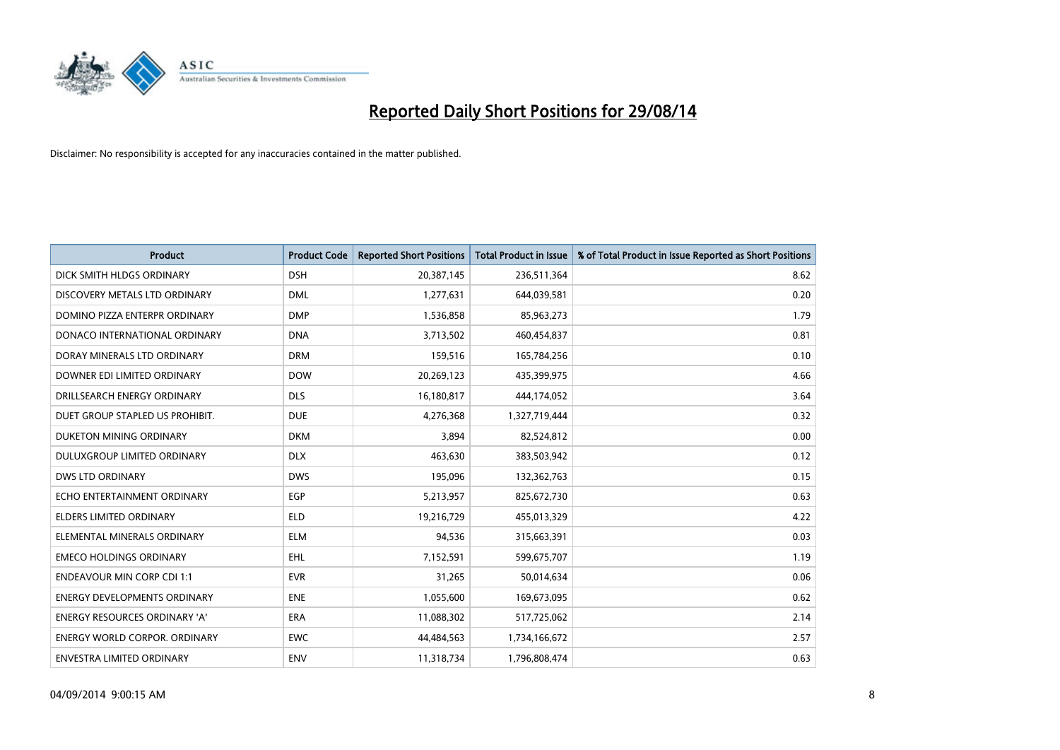

| <b>Product</b>                       | <b>Product Code</b> | <b>Reported Short Positions</b> | <b>Total Product in Issue</b> | % of Total Product in Issue Reported as Short Positions |
|--------------------------------------|---------------------|---------------------------------|-------------------------------|---------------------------------------------------------|
| DICK SMITH HLDGS ORDINARY            | <b>DSH</b>          | 20,387,145                      | 236,511,364                   | 8.62                                                    |
| DISCOVERY METALS LTD ORDINARY        | <b>DML</b>          | 1,277,631                       | 644,039,581                   | 0.20                                                    |
| DOMINO PIZZA ENTERPR ORDINARY        | <b>DMP</b>          | 1,536,858                       | 85,963,273                    | 1.79                                                    |
| DONACO INTERNATIONAL ORDINARY        | <b>DNA</b>          | 3,713,502                       | 460,454,837                   | 0.81                                                    |
| DORAY MINERALS LTD ORDINARY          | <b>DRM</b>          | 159,516                         | 165,784,256                   | 0.10                                                    |
| DOWNER EDI LIMITED ORDINARY          | <b>DOW</b>          | 20,269,123                      | 435,399,975                   | 4.66                                                    |
| DRILLSEARCH ENERGY ORDINARY          | <b>DLS</b>          | 16,180,817                      | 444,174,052                   | 3.64                                                    |
| DUET GROUP STAPLED US PROHIBIT.      | <b>DUE</b>          | 4,276,368                       | 1,327,719,444                 | 0.32                                                    |
| DUKETON MINING ORDINARY              | <b>DKM</b>          | 3,894                           | 82,524,812                    | 0.00                                                    |
| DULUXGROUP LIMITED ORDINARY          | <b>DLX</b>          | 463,630                         | 383,503,942                   | 0.12                                                    |
| DWS LTD ORDINARY                     | <b>DWS</b>          | 195,096                         | 132,362,763                   | 0.15                                                    |
| ECHO ENTERTAINMENT ORDINARY          | <b>EGP</b>          | 5,213,957                       | 825,672,730                   | 0.63                                                    |
| <b>ELDERS LIMITED ORDINARY</b>       | <b>ELD</b>          | 19,216,729                      | 455,013,329                   | 4.22                                                    |
| ELEMENTAL MINERALS ORDINARY          | <b>ELM</b>          | 94,536                          | 315,663,391                   | 0.03                                                    |
| <b>EMECO HOLDINGS ORDINARY</b>       | <b>EHL</b>          | 7,152,591                       | 599,675,707                   | 1.19                                                    |
| ENDEAVOUR MIN CORP CDI 1:1           | <b>EVR</b>          | 31,265                          | 50,014,634                    | 0.06                                                    |
| ENERGY DEVELOPMENTS ORDINARY         | <b>ENE</b>          | 1,055,600                       | 169,673,095                   | 0.62                                                    |
| <b>ENERGY RESOURCES ORDINARY 'A'</b> | <b>ERA</b>          | 11,088,302                      | 517,725,062                   | 2.14                                                    |
| <b>ENERGY WORLD CORPOR, ORDINARY</b> | <b>EWC</b>          | 44,484,563                      | 1,734,166,672                 | 2.57                                                    |
| ENVESTRA LIMITED ORDINARY            | ENV                 | 11,318,734                      | 1,796,808,474                 | 0.63                                                    |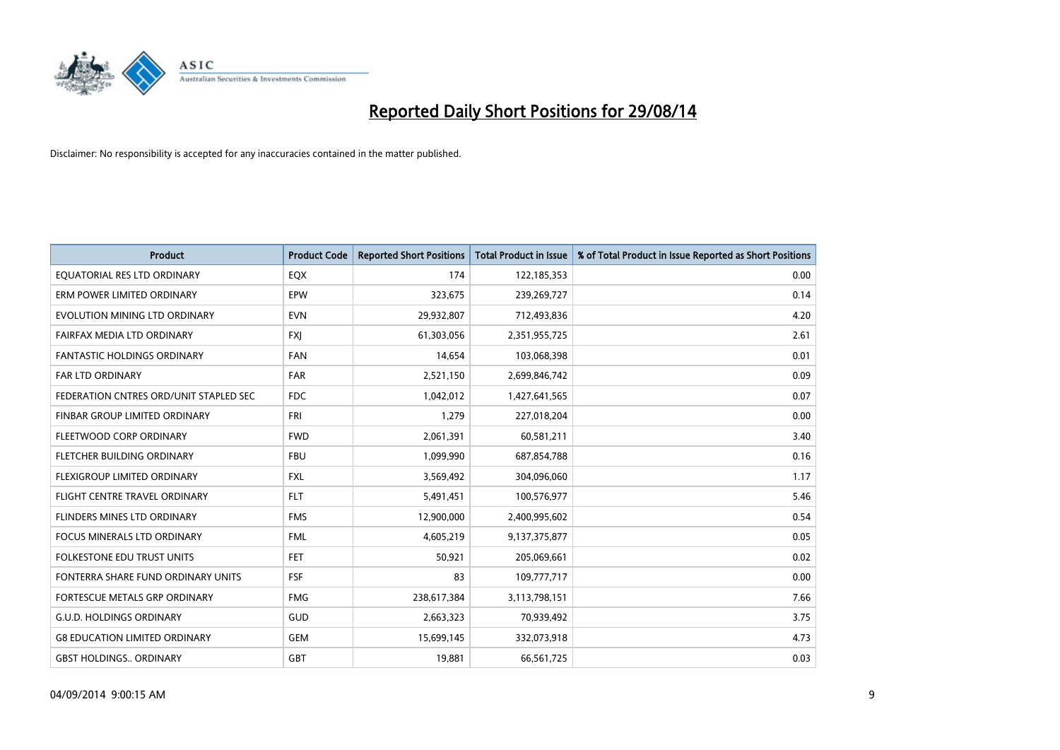

| <b>Product</b>                         | <b>Product Code</b> | <b>Reported Short Positions</b> | <b>Total Product in Issue</b> | % of Total Product in Issue Reported as Short Positions |
|----------------------------------------|---------------------|---------------------------------|-------------------------------|---------------------------------------------------------|
| EQUATORIAL RES LTD ORDINARY            | EQX                 | 174                             | 122,185,353                   | 0.00                                                    |
| ERM POWER LIMITED ORDINARY             | <b>EPW</b>          | 323,675                         | 239,269,727                   | 0.14                                                    |
| EVOLUTION MINING LTD ORDINARY          | <b>EVN</b>          | 29,932,807                      | 712,493,836                   | 4.20                                                    |
| FAIRFAX MEDIA LTD ORDINARY             | FXJ                 | 61,303,056                      | 2,351,955,725                 | 2.61                                                    |
| <b>FANTASTIC HOLDINGS ORDINARY</b>     | <b>FAN</b>          | 14,654                          | 103,068,398                   | 0.01                                                    |
| <b>FAR LTD ORDINARY</b>                | <b>FAR</b>          | 2,521,150                       | 2,699,846,742                 | 0.09                                                    |
| FEDERATION CNTRES ORD/UNIT STAPLED SEC | FDC                 | 1,042,012                       | 1,427,641,565                 | 0.07                                                    |
| FINBAR GROUP LIMITED ORDINARY          | <b>FRI</b>          | 1,279                           | 227,018,204                   | 0.00                                                    |
| FLEETWOOD CORP ORDINARY                | <b>FWD</b>          | 2,061,391                       | 60,581,211                    | 3.40                                                    |
| FLETCHER BUILDING ORDINARY             | <b>FBU</b>          | 1,099,990                       | 687,854,788                   | 0.16                                                    |
| FLEXIGROUP LIMITED ORDINARY            | <b>FXL</b>          | 3,569,492                       | 304,096,060                   | 1.17                                                    |
| FLIGHT CENTRE TRAVEL ORDINARY          | <b>FLT</b>          | 5,491,451                       | 100,576,977                   | 5.46                                                    |
| FLINDERS MINES LTD ORDINARY            | <b>FMS</b>          | 12,900,000                      | 2,400,995,602                 | 0.54                                                    |
| <b>FOCUS MINERALS LTD ORDINARY</b>     | <b>FML</b>          | 4,605,219                       | 9,137,375,877                 | 0.05                                                    |
| <b>FOLKESTONE EDU TRUST UNITS</b>      | <b>FET</b>          | 50,921                          | 205,069,661                   | 0.02                                                    |
| FONTERRA SHARE FUND ORDINARY UNITS     | <b>FSF</b>          | 83                              | 109,777,717                   | 0.00                                                    |
| FORTESCUE METALS GRP ORDINARY          | <b>FMG</b>          | 238,617,384                     | 3,113,798,151                 | 7.66                                                    |
| <b>G.U.D. HOLDINGS ORDINARY</b>        | GUD                 | 2,663,323                       | 70,939,492                    | 3.75                                                    |
| <b>G8 EDUCATION LIMITED ORDINARY</b>   | <b>GEM</b>          | 15,699,145                      | 332,073,918                   | 4.73                                                    |
| <b>GBST HOLDINGS ORDINARY</b>          | GBT                 | 19,881                          | 66,561,725                    | 0.03                                                    |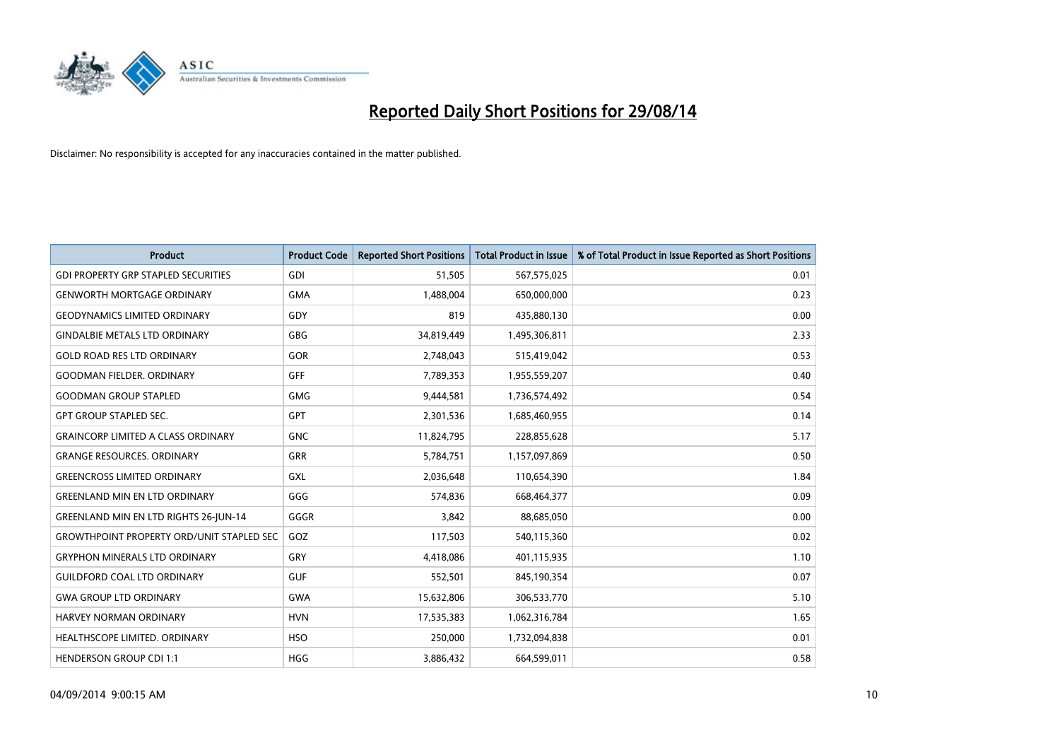

| Product                                          | <b>Product Code</b> | <b>Reported Short Positions</b> | <b>Total Product in Issue</b> | % of Total Product in Issue Reported as Short Positions |
|--------------------------------------------------|---------------------|---------------------------------|-------------------------------|---------------------------------------------------------|
| <b>GDI PROPERTY GRP STAPLED SECURITIES</b>       | GDI                 | 51,505                          | 567,575,025                   | 0.01                                                    |
| <b>GENWORTH MORTGAGE ORDINARY</b>                | <b>GMA</b>          | 1,488,004                       | 650,000,000                   | 0.23                                                    |
| <b>GEODYNAMICS LIMITED ORDINARY</b>              | GDY                 | 819                             | 435,880,130                   | 0.00                                                    |
| <b>GINDALBIE METALS LTD ORDINARY</b>             | GBG                 | 34,819,449                      | 1,495,306,811                 | 2.33                                                    |
| <b>GOLD ROAD RES LTD ORDINARY</b>                | GOR                 | 2,748,043                       | 515,419,042                   | 0.53                                                    |
| <b>GOODMAN FIELDER, ORDINARY</b>                 | GFF                 | 7,789,353                       | 1,955,559,207                 | 0.40                                                    |
| <b>GOODMAN GROUP STAPLED</b>                     | <b>GMG</b>          | 9,444,581                       | 1,736,574,492                 | 0.54                                                    |
| <b>GPT GROUP STAPLED SEC.</b>                    | <b>GPT</b>          | 2,301,536                       | 1,685,460,955                 | 0.14                                                    |
| <b>GRAINCORP LIMITED A CLASS ORDINARY</b>        | <b>GNC</b>          | 11,824,795                      | 228,855,628                   | 5.17                                                    |
| <b>GRANGE RESOURCES, ORDINARY</b>                | GRR                 | 5,784,751                       | 1,157,097,869                 | 0.50                                                    |
| <b>GREENCROSS LIMITED ORDINARY</b>               | GXL                 | 2,036,648                       | 110,654,390                   | 1.84                                                    |
| <b>GREENLAND MIN EN LTD ORDINARY</b>             | GGG                 | 574,836                         | 668,464,377                   | 0.09                                                    |
| <b>GREENLAND MIN EN LTD RIGHTS 26-JUN-14</b>     | GGGR                | 3,842                           | 88,685,050                    | 0.00                                                    |
| <b>GROWTHPOINT PROPERTY ORD/UNIT STAPLED SEC</b> | GOZ                 | 117,503                         | 540,115,360                   | 0.02                                                    |
| <b>GRYPHON MINERALS LTD ORDINARY</b>             | GRY                 | 4,418,086                       | 401,115,935                   | 1.10                                                    |
| <b>GUILDFORD COAL LTD ORDINARY</b>               | <b>GUF</b>          | 552,501                         | 845,190,354                   | 0.07                                                    |
| <b>GWA GROUP LTD ORDINARY</b>                    | <b>GWA</b>          | 15,632,806                      | 306,533,770                   | 5.10                                                    |
| <b>HARVEY NORMAN ORDINARY</b>                    | <b>HVN</b>          | 17,535,383                      | 1,062,316,784                 | 1.65                                                    |
| HEALTHSCOPE LIMITED. ORDINARY                    | <b>HSO</b>          | 250,000                         | 1,732,094,838                 | 0.01                                                    |
| <b>HENDERSON GROUP CDI 1:1</b>                   | HGG                 | 3,886,432                       | 664,599,011                   | 0.58                                                    |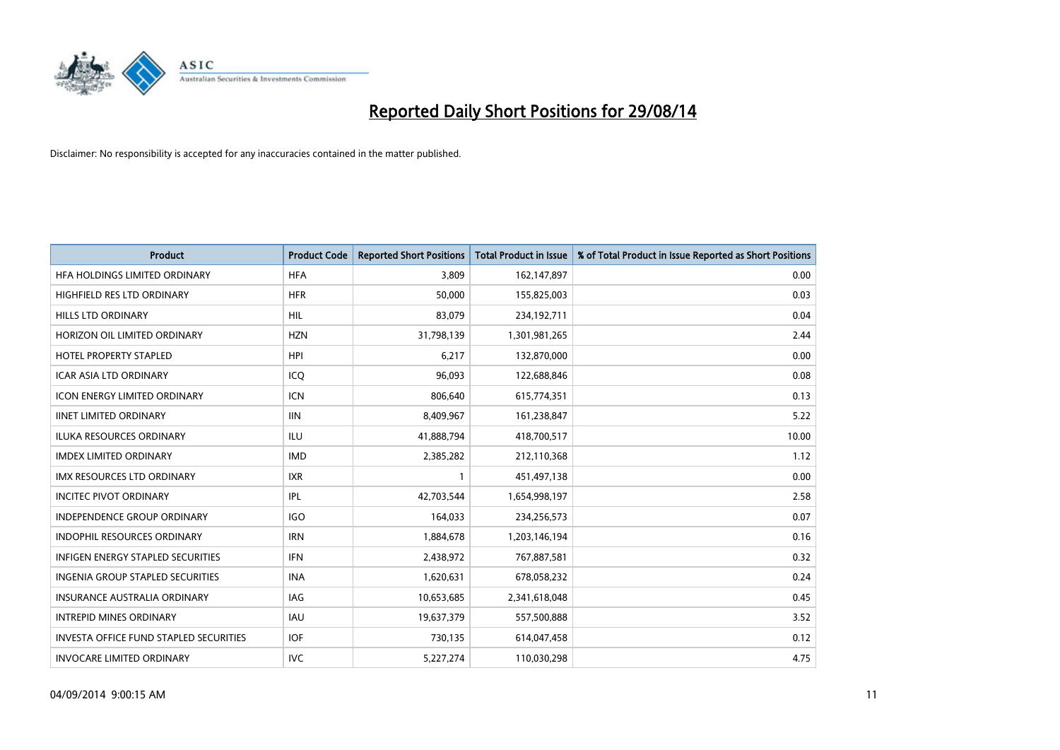

| <b>Product</b>                                | <b>Product Code</b> | <b>Reported Short Positions</b> | <b>Total Product in Issue</b> | % of Total Product in Issue Reported as Short Positions |
|-----------------------------------------------|---------------------|---------------------------------|-------------------------------|---------------------------------------------------------|
| HFA HOLDINGS LIMITED ORDINARY                 | <b>HFA</b>          | 3,809                           | 162,147,897                   | 0.00                                                    |
| HIGHFIELD RES LTD ORDINARY                    | <b>HFR</b>          | 50,000                          | 155,825,003                   | 0.03                                                    |
| <b>HILLS LTD ORDINARY</b>                     | <b>HIL</b>          | 83,079                          | 234,192,711                   | 0.04                                                    |
| HORIZON OIL LIMITED ORDINARY                  | <b>HZN</b>          | 31,798,139                      | 1,301,981,265                 | 2.44                                                    |
| <b>HOTEL PROPERTY STAPLED</b>                 | <b>HPI</b>          | 6,217                           | 132,870,000                   | 0.00                                                    |
| <b>ICAR ASIA LTD ORDINARY</b>                 | ICQ                 | 96,093                          | 122,688,846                   | 0.08                                                    |
| <b>ICON ENERGY LIMITED ORDINARY</b>           | <b>ICN</b>          | 806,640                         | 615,774,351                   | 0.13                                                    |
| <b>IINET LIMITED ORDINARY</b>                 | <b>IIN</b>          | 8,409,967                       | 161,238,847                   | 5.22                                                    |
| <b>ILUKA RESOURCES ORDINARY</b>               | ILU                 | 41,888,794                      | 418,700,517                   | 10.00                                                   |
| <b>IMDEX LIMITED ORDINARY</b>                 | <b>IMD</b>          | 2,385,282                       | 212,110,368                   | 1.12                                                    |
| IMX RESOURCES LTD ORDINARY                    | <b>IXR</b>          |                                 | 451,497,138                   | 0.00                                                    |
| <b>INCITEC PIVOT ORDINARY</b>                 | IPL                 | 42,703,544                      | 1,654,998,197                 | 2.58                                                    |
| INDEPENDENCE GROUP ORDINARY                   | <b>IGO</b>          | 164,033                         | 234,256,573                   | 0.07                                                    |
| <b>INDOPHIL RESOURCES ORDINARY</b>            | <b>IRN</b>          | 1,884,678                       | 1,203,146,194                 | 0.16                                                    |
| <b>INFIGEN ENERGY STAPLED SECURITIES</b>      | IFN                 | 2,438,972                       | 767,887,581                   | 0.32                                                    |
| INGENIA GROUP STAPLED SECURITIES              | <b>INA</b>          | 1,620,631                       | 678,058,232                   | 0.24                                                    |
| INSURANCE AUSTRALIA ORDINARY                  | IAG                 | 10,653,685                      | 2,341,618,048                 | 0.45                                                    |
| <b>INTREPID MINES ORDINARY</b>                | <b>IAU</b>          | 19,637,379                      | 557,500,888                   | 3.52                                                    |
| <b>INVESTA OFFICE FUND STAPLED SECURITIES</b> | <b>IOF</b>          | 730,135                         | 614,047,458                   | 0.12                                                    |
| <b>INVOCARE LIMITED ORDINARY</b>              | <b>IVC</b>          | 5,227,274                       | 110,030,298                   | 4.75                                                    |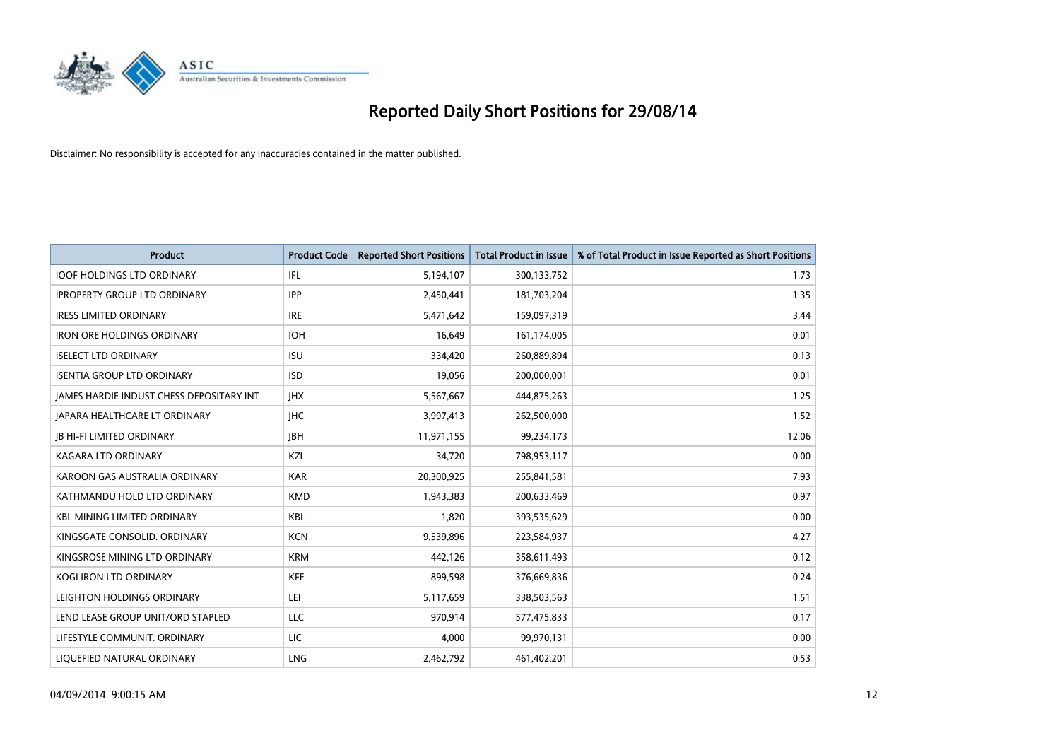

| <b>Product</b>                           | <b>Product Code</b> | <b>Reported Short Positions</b> | <b>Total Product in Issue</b> | % of Total Product in Issue Reported as Short Positions |
|------------------------------------------|---------------------|---------------------------------|-------------------------------|---------------------------------------------------------|
| <b>IOOF HOLDINGS LTD ORDINARY</b>        | IFL                 | 5,194,107                       | 300,133,752                   | 1.73                                                    |
| <b>IPROPERTY GROUP LTD ORDINARY</b>      | <b>IPP</b>          | 2,450,441                       | 181,703,204                   | 1.35                                                    |
| <b>IRESS LIMITED ORDINARY</b>            | <b>IRE</b>          | 5,471,642                       | 159,097,319                   | 3.44                                                    |
| <b>IRON ORE HOLDINGS ORDINARY</b>        | <b>IOH</b>          | 16,649                          | 161,174,005                   | 0.01                                                    |
| <b>ISELECT LTD ORDINARY</b>              | <b>ISU</b>          | 334,420                         | 260,889,894                   | 0.13                                                    |
| <b>ISENTIA GROUP LTD ORDINARY</b>        | <b>ISD</b>          | 19,056                          | 200,000,001                   | 0.01                                                    |
| JAMES HARDIE INDUST CHESS DEPOSITARY INT | <b>JHX</b>          | 5,567,667                       | 444,875,263                   | 1.25                                                    |
| <b>JAPARA HEALTHCARE LT ORDINARY</b>     | <b>IHC</b>          | 3,997,413                       | 262,500,000                   | 1.52                                                    |
| <b>JB HI-FI LIMITED ORDINARY</b>         | <b>IBH</b>          | 11,971,155                      | 99,234,173                    | 12.06                                                   |
| <b>KAGARA LTD ORDINARY</b>               | KZL                 | 34,720                          | 798,953,117                   | 0.00                                                    |
| KAROON GAS AUSTRALIA ORDINARY            | <b>KAR</b>          | 20,300,925                      | 255,841,581                   | 7.93                                                    |
| KATHMANDU HOLD LTD ORDINARY              | <b>KMD</b>          | 1,943,383                       | 200,633,469                   | 0.97                                                    |
| <b>KBL MINING LIMITED ORDINARY</b>       | <b>KBL</b>          | 1,820                           | 393,535,629                   | 0.00                                                    |
| KINGSGATE CONSOLID. ORDINARY             | <b>KCN</b>          | 9,539,896                       | 223,584,937                   | 4.27                                                    |
| KINGSROSE MINING LTD ORDINARY            | <b>KRM</b>          | 442,126                         | 358,611,493                   | 0.12                                                    |
| KOGI IRON LTD ORDINARY                   | <b>KFE</b>          | 899,598                         | 376,669,836                   | 0.24                                                    |
| LEIGHTON HOLDINGS ORDINARY               | LEI                 | 5,117,659                       | 338,503,563                   | 1.51                                                    |
| LEND LEASE GROUP UNIT/ORD STAPLED        | LLC                 | 970,914                         | 577,475,833                   | 0.17                                                    |
| LIFESTYLE COMMUNIT, ORDINARY             | <b>LIC</b>          | 4,000                           | 99,970,131                    | 0.00                                                    |
| LIQUEFIED NATURAL ORDINARY               | <b>LNG</b>          | 2,462,792                       | 461,402,201                   | 0.53                                                    |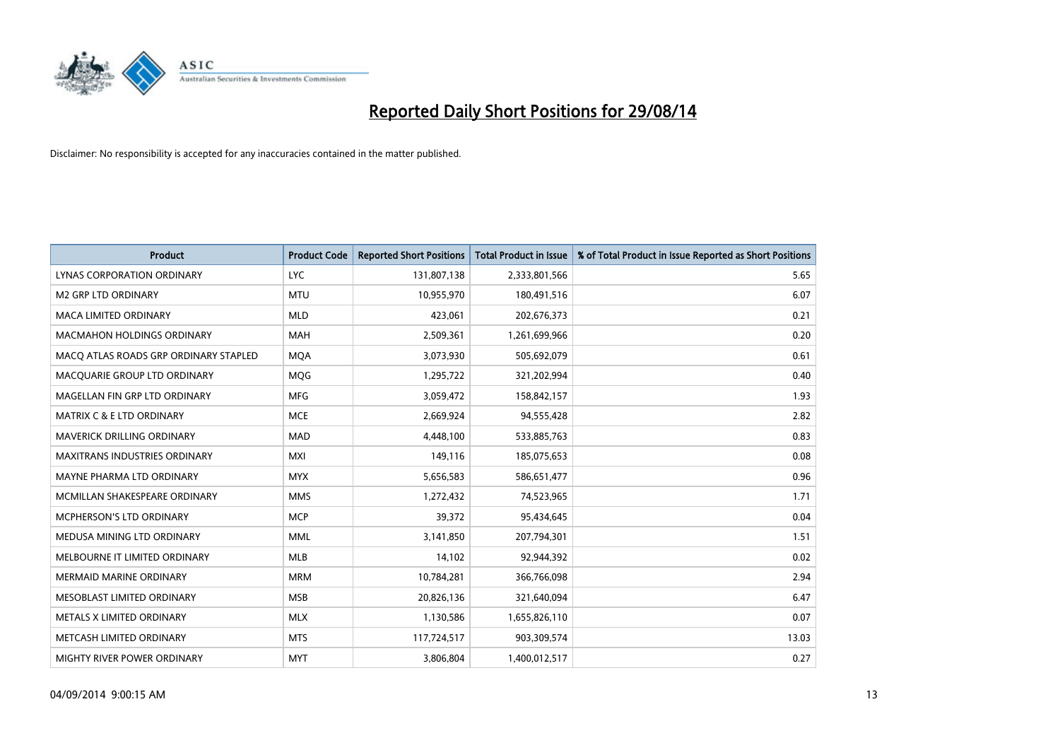

| <b>Product</b>                        | <b>Product Code</b> | <b>Reported Short Positions</b> | <b>Total Product in Issue</b> | % of Total Product in Issue Reported as Short Positions |
|---------------------------------------|---------------------|---------------------------------|-------------------------------|---------------------------------------------------------|
| LYNAS CORPORATION ORDINARY            | <b>LYC</b>          | 131,807,138                     | 2,333,801,566                 | 5.65                                                    |
| <b>M2 GRP LTD ORDINARY</b>            | <b>MTU</b>          | 10,955,970                      | 180,491,516                   | 6.07                                                    |
| <b>MACA LIMITED ORDINARY</b>          | <b>MLD</b>          | 423,061                         | 202,676,373                   | 0.21                                                    |
| <b>MACMAHON HOLDINGS ORDINARY</b>     | <b>MAH</b>          | 2,509,361                       | 1,261,699,966                 | 0.20                                                    |
| MACO ATLAS ROADS GRP ORDINARY STAPLED | <b>MOA</b>          | 3,073,930                       | 505,692,079                   | 0.61                                                    |
| MACQUARIE GROUP LTD ORDINARY          | MQG                 | 1,295,722                       | 321,202,994                   | 0.40                                                    |
| MAGELLAN FIN GRP LTD ORDINARY         | <b>MFG</b>          | 3,059,472                       | 158,842,157                   | 1.93                                                    |
| <b>MATRIX C &amp; E LTD ORDINARY</b>  | <b>MCE</b>          | 2,669,924                       | 94,555,428                    | 2.82                                                    |
| <b>MAVERICK DRILLING ORDINARY</b>     | <b>MAD</b>          | 4,448,100                       | 533,885,763                   | 0.83                                                    |
| <b>MAXITRANS INDUSTRIES ORDINARY</b>  | <b>MXI</b>          | 149,116                         | 185,075,653                   | 0.08                                                    |
| MAYNE PHARMA LTD ORDINARY             | <b>MYX</b>          | 5,656,583                       | 586,651,477                   | 0.96                                                    |
| MCMILLAN SHAKESPEARE ORDINARY         | <b>MMS</b>          | 1,272,432                       | 74,523,965                    | 1.71                                                    |
| MCPHERSON'S LTD ORDINARY              | <b>MCP</b>          | 39,372                          | 95,434,645                    | 0.04                                                    |
| MEDUSA MINING LTD ORDINARY            | <b>MML</b>          | 3,141,850                       | 207,794,301                   | 1.51                                                    |
| MELBOURNE IT LIMITED ORDINARY         | <b>MLB</b>          | 14,102                          | 92,944,392                    | 0.02                                                    |
| <b>MERMAID MARINE ORDINARY</b>        | <b>MRM</b>          | 10,784,281                      | 366,766,098                   | 2.94                                                    |
| MESOBLAST LIMITED ORDINARY            | <b>MSB</b>          | 20,826,136                      | 321,640,094                   | 6.47                                                    |
| METALS X LIMITED ORDINARY             | <b>MLX</b>          | 1,130,586                       | 1,655,826,110                 | 0.07                                                    |
| METCASH LIMITED ORDINARY              | <b>MTS</b>          | 117,724,517                     | 903,309,574                   | 13.03                                                   |
| <b>MIGHTY RIVER POWER ORDINARY</b>    | <b>MYT</b>          | 3,806,804                       | 1,400,012,517                 | 0.27                                                    |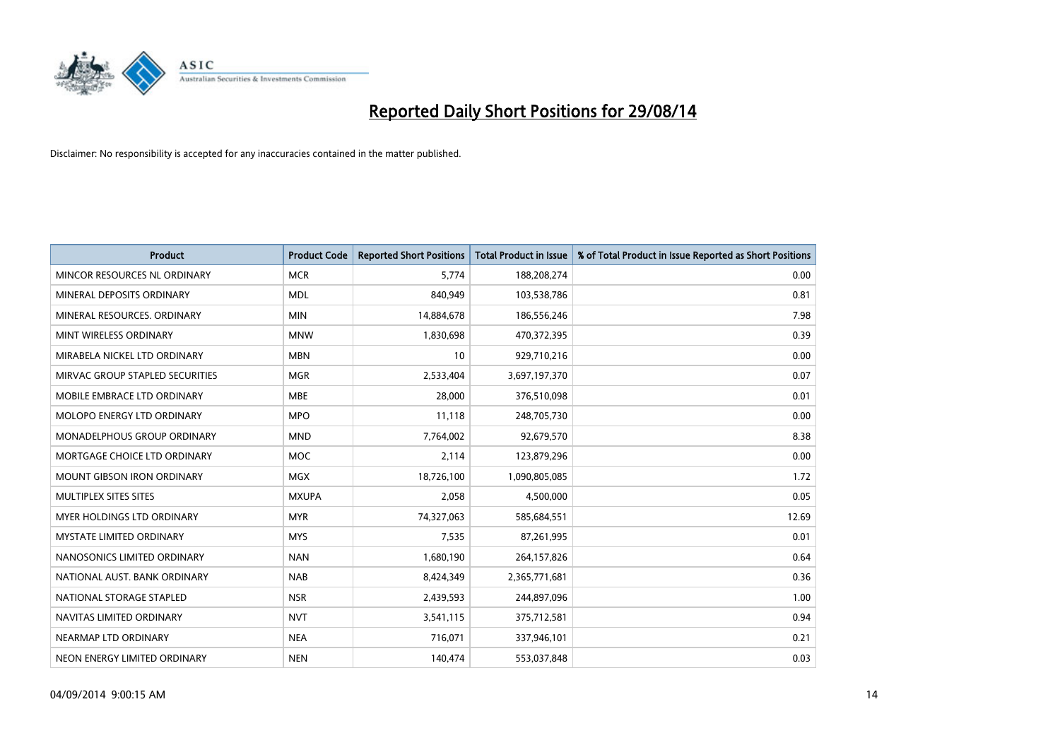

| <b>Product</b>                    | <b>Product Code</b> | <b>Reported Short Positions</b> | <b>Total Product in Issue</b> | % of Total Product in Issue Reported as Short Positions |
|-----------------------------------|---------------------|---------------------------------|-------------------------------|---------------------------------------------------------|
| MINCOR RESOURCES NL ORDINARY      | <b>MCR</b>          | 5.774                           | 188,208,274                   | 0.00                                                    |
| MINERAL DEPOSITS ORDINARY         | <b>MDL</b>          | 840,949                         | 103,538,786                   | 0.81                                                    |
| MINERAL RESOURCES, ORDINARY       | <b>MIN</b>          | 14,884,678                      | 186,556,246                   | 7.98                                                    |
| MINT WIRELESS ORDINARY            | <b>MNW</b>          | 1,830,698                       | 470,372,395                   | 0.39                                                    |
| MIRABELA NICKEL LTD ORDINARY      | <b>MBN</b>          | 10                              | 929,710,216                   | 0.00                                                    |
| MIRVAC GROUP STAPLED SECURITIES   | <b>MGR</b>          | 2,533,404                       | 3,697,197,370                 | 0.07                                                    |
| MOBILE EMBRACE LTD ORDINARY       | <b>MBE</b>          | 28,000                          | 376,510,098                   | 0.01                                                    |
| MOLOPO ENERGY LTD ORDINARY        | <b>MPO</b>          | 11,118                          | 248,705,730                   | 0.00                                                    |
| MONADELPHOUS GROUP ORDINARY       | <b>MND</b>          | 7,764,002                       | 92,679,570                    | 8.38                                                    |
| MORTGAGE CHOICE LTD ORDINARY      | <b>MOC</b>          | 2,114                           | 123,879,296                   | 0.00                                                    |
| <b>MOUNT GIBSON IRON ORDINARY</b> | <b>MGX</b>          | 18,726,100                      | 1,090,805,085                 | 1.72                                                    |
| MULTIPLEX SITES SITES             | <b>MXUPA</b>        | 2,058                           | 4,500,000                     | 0.05                                                    |
| <b>MYER HOLDINGS LTD ORDINARY</b> | <b>MYR</b>          | 74,327,063                      | 585,684,551                   | 12.69                                                   |
| <b>MYSTATE LIMITED ORDINARY</b>   | <b>MYS</b>          | 7,535                           | 87,261,995                    | 0.01                                                    |
| NANOSONICS LIMITED ORDINARY       | <b>NAN</b>          | 1,680,190                       | 264,157,826                   | 0.64                                                    |
| NATIONAL AUST, BANK ORDINARY      | <b>NAB</b>          | 8,424,349                       | 2,365,771,681                 | 0.36                                                    |
| NATIONAL STORAGE STAPLED          | <b>NSR</b>          | 2,439,593                       | 244,897,096                   | 1.00                                                    |
| NAVITAS LIMITED ORDINARY          | <b>NVT</b>          | 3,541,115                       | 375,712,581                   | 0.94                                                    |
| NEARMAP LTD ORDINARY              | <b>NEA</b>          | 716,071                         | 337,946,101                   | 0.21                                                    |
| NEON ENERGY LIMITED ORDINARY      | <b>NEN</b>          | 140,474                         | 553,037,848                   | 0.03                                                    |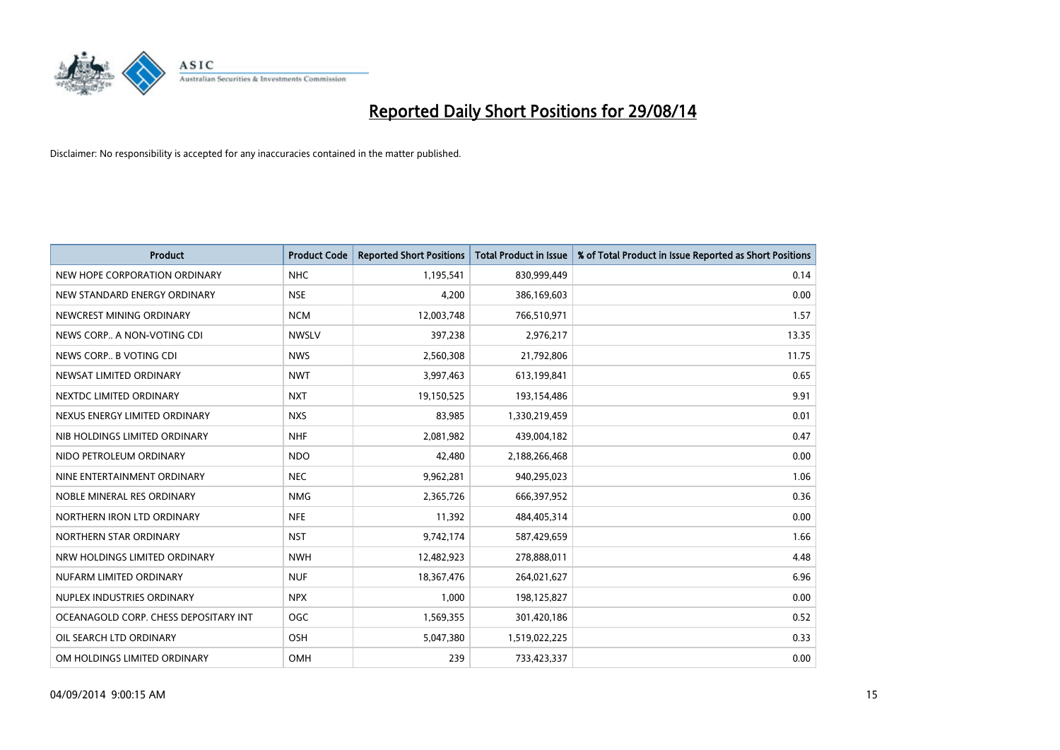

| <b>Product</b>                        | <b>Product Code</b> | <b>Reported Short Positions</b> | <b>Total Product in Issue</b> | % of Total Product in Issue Reported as Short Positions |
|---------------------------------------|---------------------|---------------------------------|-------------------------------|---------------------------------------------------------|
| NEW HOPE CORPORATION ORDINARY         | <b>NHC</b>          | 1,195,541                       | 830,999,449                   | 0.14                                                    |
| NEW STANDARD ENERGY ORDINARY          | <b>NSE</b>          | 4,200                           | 386,169,603                   | 0.00                                                    |
| NEWCREST MINING ORDINARY              | <b>NCM</b>          | 12,003,748                      | 766,510,971                   | 1.57                                                    |
| NEWS CORP A NON-VOTING CDI            | <b>NWSLV</b>        | 397,238                         | 2,976,217                     | 13.35                                                   |
| NEWS CORP B VOTING CDI                | <b>NWS</b>          | 2,560,308                       | 21,792,806                    | 11.75                                                   |
| NEWSAT LIMITED ORDINARY               | <b>NWT</b>          | 3,997,463                       | 613,199,841                   | 0.65                                                    |
| NEXTDC LIMITED ORDINARY               | <b>NXT</b>          | 19,150,525                      | 193,154,486                   | 9.91                                                    |
| NEXUS ENERGY LIMITED ORDINARY         | <b>NXS</b>          | 83,985                          | 1,330,219,459                 | 0.01                                                    |
| NIB HOLDINGS LIMITED ORDINARY         | <b>NHF</b>          | 2,081,982                       | 439,004,182                   | 0.47                                                    |
| NIDO PETROLEUM ORDINARY               | <b>NDO</b>          | 42,480                          | 2,188,266,468                 | 0.00                                                    |
| NINE ENTERTAINMENT ORDINARY           | <b>NEC</b>          | 9,962,281                       | 940,295,023                   | 1.06                                                    |
| NOBLE MINERAL RES ORDINARY            | <b>NMG</b>          | 2,365,726                       | 666,397,952                   | 0.36                                                    |
| NORTHERN IRON LTD ORDINARY            | <b>NFE</b>          | 11,392                          | 484,405,314                   | 0.00                                                    |
| NORTHERN STAR ORDINARY                | <b>NST</b>          | 9,742,174                       | 587,429,659                   | 1.66                                                    |
| NRW HOLDINGS LIMITED ORDINARY         | <b>NWH</b>          | 12,482,923                      | 278,888,011                   | 4.48                                                    |
| NUFARM LIMITED ORDINARY               | <b>NUF</b>          | 18,367,476                      | 264,021,627                   | 6.96                                                    |
| NUPLEX INDUSTRIES ORDINARY            | <b>NPX</b>          | 1,000                           | 198,125,827                   | 0.00                                                    |
| OCEANAGOLD CORP. CHESS DEPOSITARY INT | OGC                 | 1,569,355                       | 301,420,186                   | 0.52                                                    |
| OIL SEARCH LTD ORDINARY               | OSH                 | 5,047,380                       | 1,519,022,225                 | 0.33                                                    |
| OM HOLDINGS LIMITED ORDINARY          | OMH                 | 239                             | 733,423,337                   | 0.00                                                    |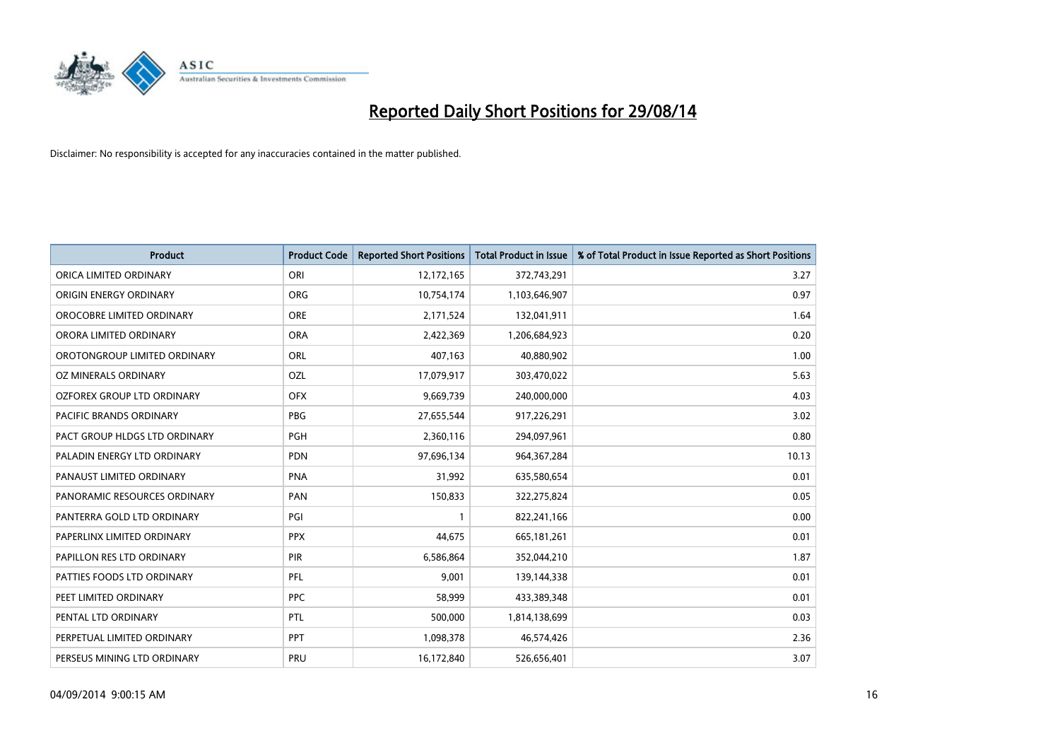

| <b>Product</b>                | <b>Product Code</b> | <b>Reported Short Positions</b> | <b>Total Product in Issue</b> | % of Total Product in Issue Reported as Short Positions |
|-------------------------------|---------------------|---------------------------------|-------------------------------|---------------------------------------------------------|
| ORICA LIMITED ORDINARY        | ORI                 | 12,172,165                      | 372,743,291                   | 3.27                                                    |
| ORIGIN ENERGY ORDINARY        | <b>ORG</b>          | 10,754,174                      | 1,103,646,907                 | 0.97                                                    |
| OROCOBRE LIMITED ORDINARY     | <b>ORE</b>          | 2,171,524                       | 132,041,911                   | 1.64                                                    |
| ORORA LIMITED ORDINARY        | <b>ORA</b>          | 2,422,369                       | 1,206,684,923                 | 0.20                                                    |
| OROTONGROUP LIMITED ORDINARY  | <b>ORL</b>          | 407,163                         | 40,880,902                    | 1.00                                                    |
| OZ MINERALS ORDINARY          | OZL                 | 17,079,917                      | 303,470,022                   | 5.63                                                    |
| OZFOREX GROUP LTD ORDINARY    | <b>OFX</b>          | 9,669,739                       | 240,000,000                   | 4.03                                                    |
| PACIFIC BRANDS ORDINARY       | <b>PBG</b>          | 27,655,544                      | 917,226,291                   | 3.02                                                    |
| PACT GROUP HLDGS LTD ORDINARY | <b>PGH</b>          | 2,360,116                       | 294,097,961                   | 0.80                                                    |
| PALADIN ENERGY LTD ORDINARY   | <b>PDN</b>          | 97,696,134                      | 964, 367, 284                 | 10.13                                                   |
| PANAUST LIMITED ORDINARY      | <b>PNA</b>          | 31,992                          | 635,580,654                   | 0.01                                                    |
| PANORAMIC RESOURCES ORDINARY  | PAN                 | 150,833                         | 322,275,824                   | 0.05                                                    |
| PANTERRA GOLD LTD ORDINARY    | PGI                 | $\mathbf{1}$                    | 822,241,166                   | 0.00                                                    |
| PAPERLINX LIMITED ORDINARY    | <b>PPX</b>          | 44,675                          | 665, 181, 261                 | 0.01                                                    |
| PAPILLON RES LTD ORDINARY     | PIR                 | 6,586,864                       | 352,044,210                   | 1.87                                                    |
| PATTIES FOODS LTD ORDINARY    | PFL                 | 9,001                           | 139,144,338                   | 0.01                                                    |
| PEET LIMITED ORDINARY         | <b>PPC</b>          | 58,999                          | 433,389,348                   | 0.01                                                    |
| PENTAL LTD ORDINARY           | <b>PTL</b>          | 500,000                         | 1,814,138,699                 | 0.03                                                    |
| PERPETUAL LIMITED ORDINARY    | PPT                 | 1,098,378                       | 46,574,426                    | 2.36                                                    |
| PERSEUS MINING LTD ORDINARY   | <b>PRU</b>          | 16,172,840                      | 526,656,401                   | 3.07                                                    |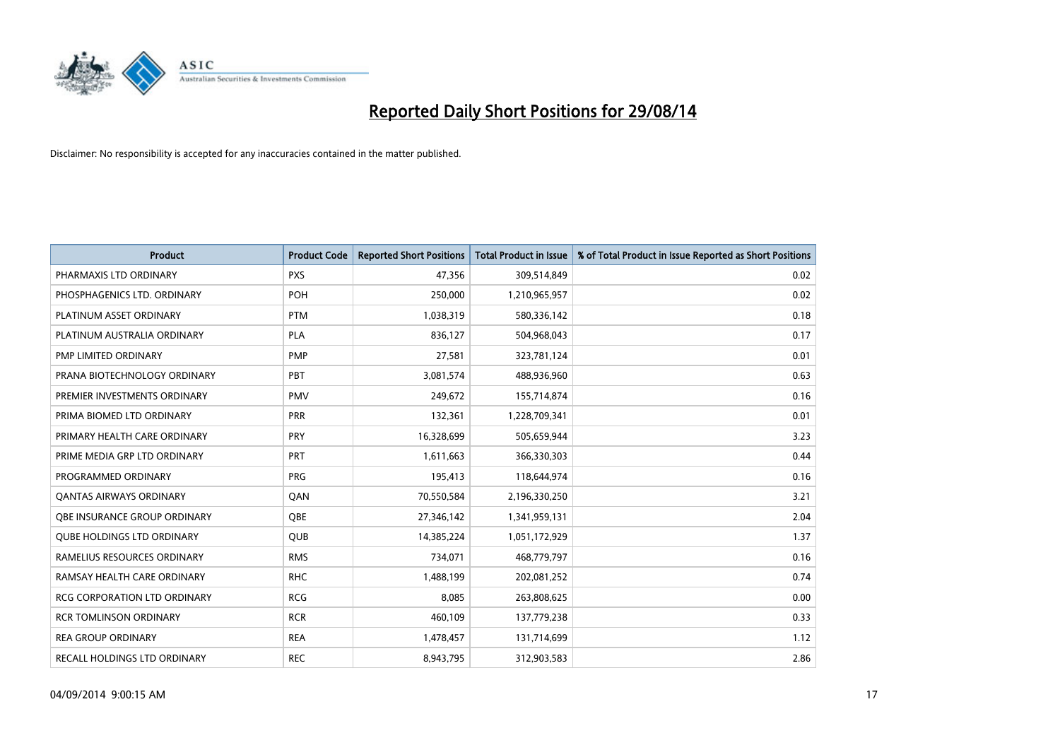

| <b>Product</b>                    | <b>Product Code</b> | <b>Reported Short Positions</b> | Total Product in Issue | % of Total Product in Issue Reported as Short Positions |
|-----------------------------------|---------------------|---------------------------------|------------------------|---------------------------------------------------------|
| PHARMAXIS LTD ORDINARY            | <b>PXS</b>          | 47,356                          | 309,514,849            | 0.02                                                    |
| PHOSPHAGENICS LTD. ORDINARY       | <b>POH</b>          | 250,000                         | 1,210,965,957          | 0.02                                                    |
| PLATINUM ASSET ORDINARY           | <b>PTM</b>          | 1,038,319                       | 580,336,142            | 0.18                                                    |
| PLATINUM AUSTRALIA ORDINARY       | <b>PLA</b>          | 836,127                         | 504,968,043            | 0.17                                                    |
| <b>PMP LIMITED ORDINARY</b>       | <b>PMP</b>          | 27,581                          | 323,781,124            | 0.01                                                    |
| PRANA BIOTECHNOLOGY ORDINARY      | PBT                 | 3,081,574                       | 488,936,960            | 0.63                                                    |
| PREMIER INVESTMENTS ORDINARY      | <b>PMV</b>          | 249,672                         | 155,714,874            | 0.16                                                    |
| PRIMA BIOMED LTD ORDINARY         | <b>PRR</b>          | 132,361                         | 1,228,709,341          | 0.01                                                    |
| PRIMARY HEALTH CARE ORDINARY      | <b>PRY</b>          | 16,328,699                      | 505,659,944            | 3.23                                                    |
| PRIME MEDIA GRP LTD ORDINARY      | <b>PRT</b>          | 1,611,663                       | 366,330,303            | 0.44                                                    |
| PROGRAMMED ORDINARY               | <b>PRG</b>          | 195,413                         | 118,644,974            | 0.16                                                    |
| <b>QANTAS AIRWAYS ORDINARY</b>    | QAN                 | 70,550,584                      | 2,196,330,250          | 3.21                                                    |
| OBE INSURANCE GROUP ORDINARY      | <b>OBE</b>          | 27,346,142                      | 1,341,959,131          | 2.04                                                    |
| <b>QUBE HOLDINGS LTD ORDINARY</b> | <b>QUB</b>          | 14,385,224                      | 1,051,172,929          | 1.37                                                    |
| RAMELIUS RESOURCES ORDINARY       | <b>RMS</b>          | 734,071                         | 468,779,797            | 0.16                                                    |
| RAMSAY HEALTH CARE ORDINARY       | <b>RHC</b>          | 1,488,199                       | 202,081,252            | 0.74                                                    |
| RCG CORPORATION LTD ORDINARY      | <b>RCG</b>          | 8,085                           | 263,808,625            | 0.00                                                    |
| <b>RCR TOMLINSON ORDINARY</b>     | <b>RCR</b>          | 460,109                         | 137,779,238            | 0.33                                                    |
| <b>REA GROUP ORDINARY</b>         | <b>REA</b>          | 1,478,457                       | 131,714,699            | 1.12                                                    |
| RECALL HOLDINGS LTD ORDINARY      | <b>REC</b>          | 8,943,795                       | 312,903,583            | 2.86                                                    |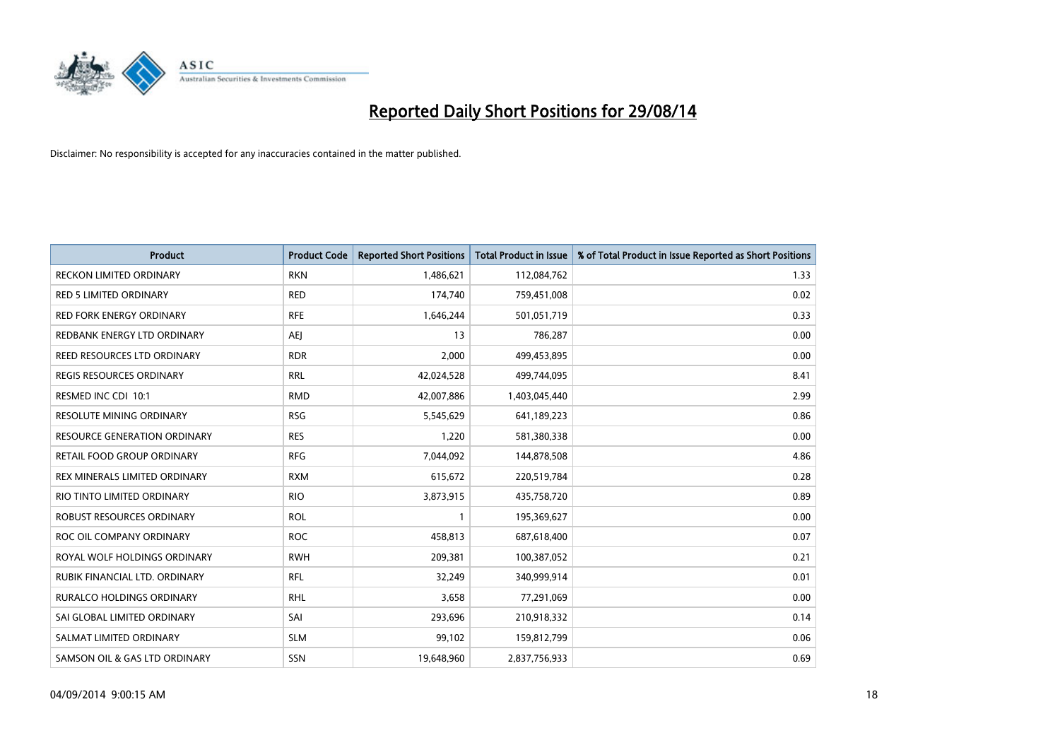

| Product                             | <b>Product Code</b> | <b>Reported Short Positions</b> | <b>Total Product in Issue</b> | % of Total Product in Issue Reported as Short Positions |
|-------------------------------------|---------------------|---------------------------------|-------------------------------|---------------------------------------------------------|
| <b>RECKON LIMITED ORDINARY</b>      | <b>RKN</b>          | 1,486,621                       | 112,084,762                   | 1.33                                                    |
| <b>RED 5 LIMITED ORDINARY</b>       | <b>RED</b>          | 174,740                         | 759,451,008                   | 0.02                                                    |
| <b>RED FORK ENERGY ORDINARY</b>     | <b>RFE</b>          | 1,646,244                       | 501,051,719                   | 0.33                                                    |
| REDBANK ENERGY LTD ORDINARY         | AEJ                 | 13                              | 786,287                       | 0.00                                                    |
| REED RESOURCES LTD ORDINARY         | <b>RDR</b>          | 2,000                           | 499,453,895                   | 0.00                                                    |
| <b>REGIS RESOURCES ORDINARY</b>     | <b>RRL</b>          | 42,024,528                      | 499,744,095                   | 8.41                                                    |
| RESMED INC CDI 10:1                 | <b>RMD</b>          | 42,007,886                      | 1,403,045,440                 | 2.99                                                    |
| RESOLUTE MINING ORDINARY            | <b>RSG</b>          | 5,545,629                       | 641,189,223                   | 0.86                                                    |
| <b>RESOURCE GENERATION ORDINARY</b> | <b>RES</b>          | 1,220                           | 581,380,338                   | 0.00                                                    |
| RETAIL FOOD GROUP ORDINARY          | <b>RFG</b>          | 7,044,092                       | 144,878,508                   | 4.86                                                    |
| REX MINERALS LIMITED ORDINARY       | <b>RXM</b>          | 615,672                         | 220,519,784                   | 0.28                                                    |
| RIO TINTO LIMITED ORDINARY          | <b>RIO</b>          | 3,873,915                       | 435,758,720                   | 0.89                                                    |
| ROBUST RESOURCES ORDINARY           | <b>ROL</b>          | $\mathbf{1}$                    | 195,369,627                   | 0.00                                                    |
| ROC OIL COMPANY ORDINARY            | <b>ROC</b>          | 458,813                         | 687,618,400                   | 0.07                                                    |
| ROYAL WOLF HOLDINGS ORDINARY        | <b>RWH</b>          | 209,381                         | 100,387,052                   | 0.21                                                    |
| RUBIK FINANCIAL LTD. ORDINARY       | <b>RFL</b>          | 32,249                          | 340,999,914                   | 0.01                                                    |
| RURALCO HOLDINGS ORDINARY           | <b>RHL</b>          | 3,658                           | 77,291,069                    | 0.00                                                    |
| SAI GLOBAL LIMITED ORDINARY         | SAI                 | 293,696                         | 210,918,332                   | 0.14                                                    |
| SALMAT LIMITED ORDINARY             | <b>SLM</b>          | 99,102                          | 159,812,799                   | 0.06                                                    |
| SAMSON OIL & GAS LTD ORDINARY       | SSN                 | 19,648,960                      | 2,837,756,933                 | 0.69                                                    |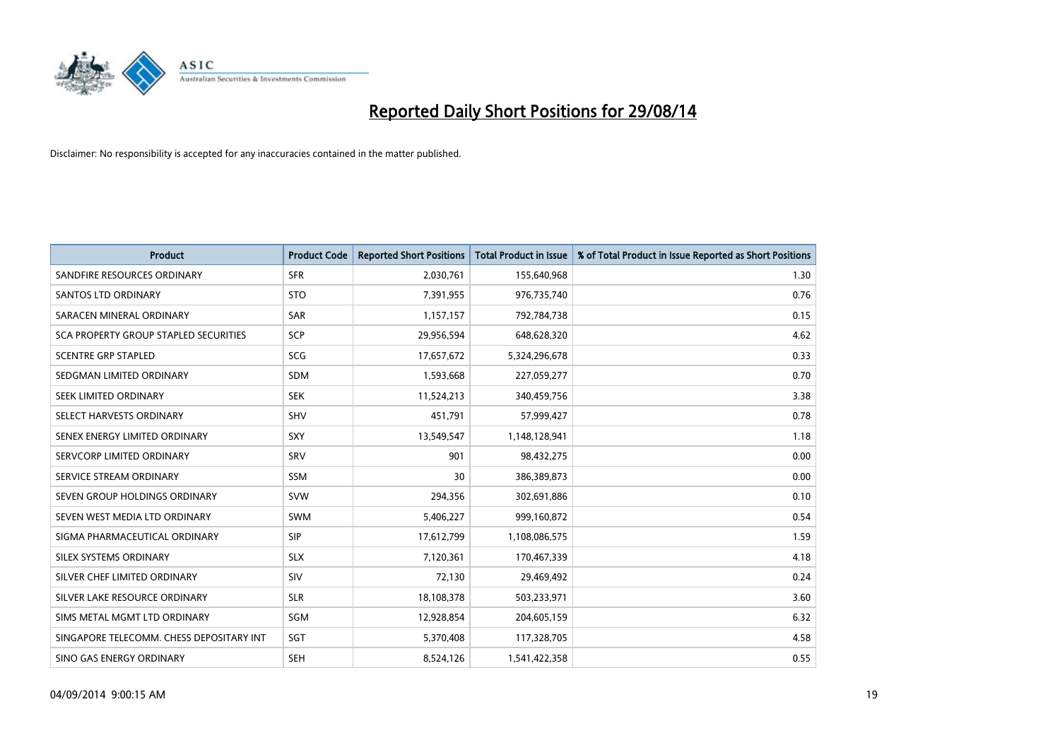

| <b>Product</b>                           | <b>Product Code</b> | <b>Reported Short Positions</b> | <b>Total Product in Issue</b> | % of Total Product in Issue Reported as Short Positions |
|------------------------------------------|---------------------|---------------------------------|-------------------------------|---------------------------------------------------------|
| SANDFIRE RESOURCES ORDINARY              | <b>SFR</b>          | 2,030,761                       | 155,640,968                   | 1.30                                                    |
| <b>SANTOS LTD ORDINARY</b>               | <b>STO</b>          | 7,391,955                       | 976,735,740                   | 0.76                                                    |
| SARACEN MINERAL ORDINARY                 | SAR                 | 1,157,157                       | 792,784,738                   | 0.15                                                    |
| SCA PROPERTY GROUP STAPLED SECURITIES    | <b>SCP</b>          | 29,956,594                      | 648,628,320                   | 4.62                                                    |
| <b>SCENTRE GRP STAPLED</b>               | SCG                 | 17,657,672                      | 5,324,296,678                 | 0.33                                                    |
| SEDGMAN LIMITED ORDINARY                 | SDM                 | 1,593,668                       | 227,059,277                   | 0.70                                                    |
| SEEK LIMITED ORDINARY                    | <b>SEK</b>          | 11,524,213                      | 340,459,756                   | 3.38                                                    |
| SELECT HARVESTS ORDINARY                 | SHV                 | 451,791                         | 57,999,427                    | 0.78                                                    |
| SENEX ENERGY LIMITED ORDINARY            | <b>SXY</b>          | 13,549,547                      | 1,148,128,941                 | 1.18                                                    |
| SERVCORP LIMITED ORDINARY                | SRV                 | 901                             | 98,432,275                    | 0.00                                                    |
| SERVICE STREAM ORDINARY                  | SSM                 | 30                              | 386,389,873                   | 0.00                                                    |
| SEVEN GROUP HOLDINGS ORDINARY            | <b>SVW</b>          | 294,356                         | 302,691,886                   | 0.10                                                    |
| SEVEN WEST MEDIA LTD ORDINARY            | SWM                 | 5,406,227                       | 999,160,872                   | 0.54                                                    |
| SIGMA PHARMACEUTICAL ORDINARY            | <b>SIP</b>          | 17,612,799                      | 1,108,086,575                 | 1.59                                                    |
| SILEX SYSTEMS ORDINARY                   | <b>SLX</b>          | 7,120,361                       | 170,467,339                   | 4.18                                                    |
| SILVER CHEF LIMITED ORDINARY             | SIV                 | 72,130                          | 29,469,492                    | 0.24                                                    |
| SILVER LAKE RESOURCE ORDINARY            | <b>SLR</b>          | 18,108,378                      | 503,233,971                   | 3.60                                                    |
| SIMS METAL MGMT LTD ORDINARY             | SGM                 | 12,928,854                      | 204,605,159                   | 6.32                                                    |
| SINGAPORE TELECOMM. CHESS DEPOSITARY INT | SGT                 | 5,370,408                       | 117,328,705                   | 4.58                                                    |
| SINO GAS ENERGY ORDINARY                 | <b>SEH</b>          | 8,524,126                       | 1,541,422,358                 | 0.55                                                    |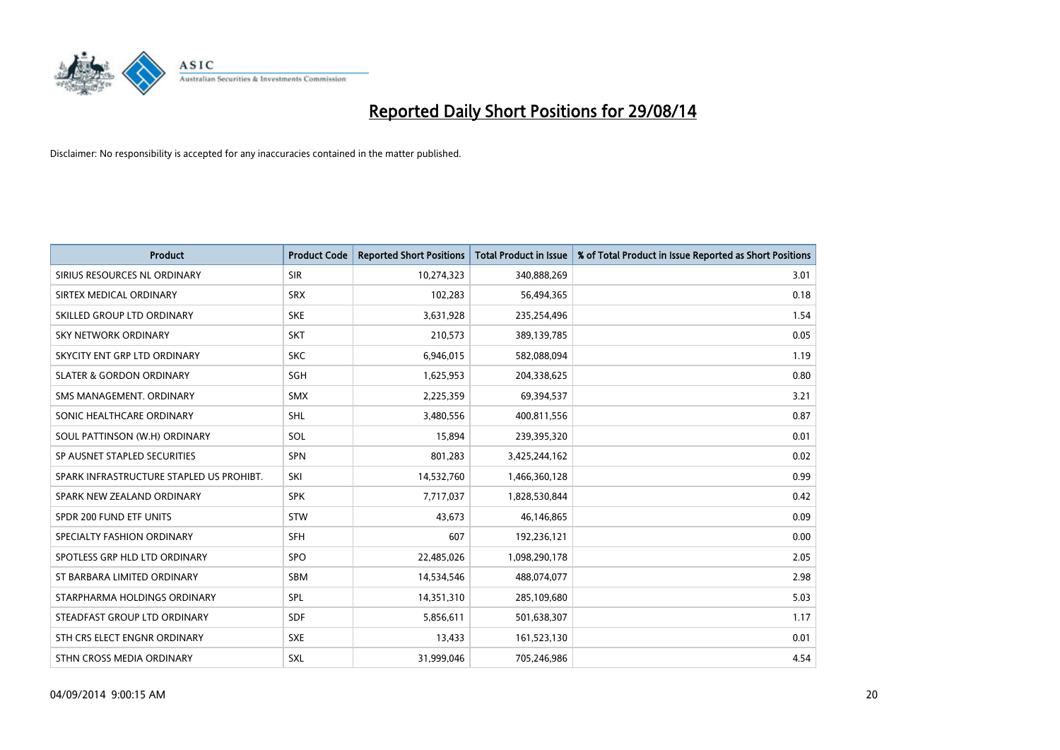

| <b>Product</b>                           | <b>Product Code</b> | <b>Reported Short Positions</b> | <b>Total Product in Issue</b> | % of Total Product in Issue Reported as Short Positions |
|------------------------------------------|---------------------|---------------------------------|-------------------------------|---------------------------------------------------------|
| SIRIUS RESOURCES NL ORDINARY             | <b>SIR</b>          | 10,274,323                      | 340,888,269                   | 3.01                                                    |
| SIRTEX MEDICAL ORDINARY                  | <b>SRX</b>          | 102,283                         | 56,494,365                    | 0.18                                                    |
| SKILLED GROUP LTD ORDINARY               | <b>SKE</b>          | 3,631,928                       | 235,254,496                   | 1.54                                                    |
| SKY NETWORK ORDINARY                     | <b>SKT</b>          | 210,573                         | 389,139,785                   | 0.05                                                    |
| SKYCITY ENT GRP LTD ORDINARY             | <b>SKC</b>          | 6,946,015                       | 582,088,094                   | 1.19                                                    |
| <b>SLATER &amp; GORDON ORDINARY</b>      | SGH                 | 1,625,953                       | 204,338,625                   | 0.80                                                    |
| SMS MANAGEMENT, ORDINARY                 | <b>SMX</b>          | 2,225,359                       | 69,394,537                    | 3.21                                                    |
| SONIC HEALTHCARE ORDINARY                | <b>SHL</b>          | 3,480,556                       | 400,811,556                   | 0.87                                                    |
| SOUL PATTINSON (W.H) ORDINARY            | SOL                 | 15,894                          | 239,395,320                   | 0.01                                                    |
| SP AUSNET STAPLED SECURITIES             | <b>SPN</b>          | 801,283                         | 3,425,244,162                 | 0.02                                                    |
| SPARK INFRASTRUCTURE STAPLED US PROHIBT. | SKI                 | 14,532,760                      | 1,466,360,128                 | 0.99                                                    |
| SPARK NEW ZEALAND ORDINARY               | <b>SPK</b>          | 7,717,037                       | 1,828,530,844                 | 0.42                                                    |
| SPDR 200 FUND ETF UNITS                  | <b>STW</b>          | 43,673                          | 46,146,865                    | 0.09                                                    |
| SPECIALTY FASHION ORDINARY               | <b>SFH</b>          | 607                             | 192,236,121                   | 0.00                                                    |
| SPOTLESS GRP HLD LTD ORDINARY            | <b>SPO</b>          | 22,485,026                      | 1,098,290,178                 | 2.05                                                    |
| ST BARBARA LIMITED ORDINARY              | SBM                 | 14,534,546                      | 488,074,077                   | 2.98                                                    |
| STARPHARMA HOLDINGS ORDINARY             | <b>SPL</b>          | 14,351,310                      | 285,109,680                   | 5.03                                                    |
| STEADFAST GROUP LTD ORDINARY             | <b>SDF</b>          | 5,856,611                       | 501,638,307                   | 1.17                                                    |
| STH CRS ELECT ENGNR ORDINARY             | <b>SXE</b>          | 13,433                          | 161,523,130                   | 0.01                                                    |
| STHN CROSS MEDIA ORDINARY                | <b>SXL</b>          | 31,999,046                      | 705,246,986                   | 4.54                                                    |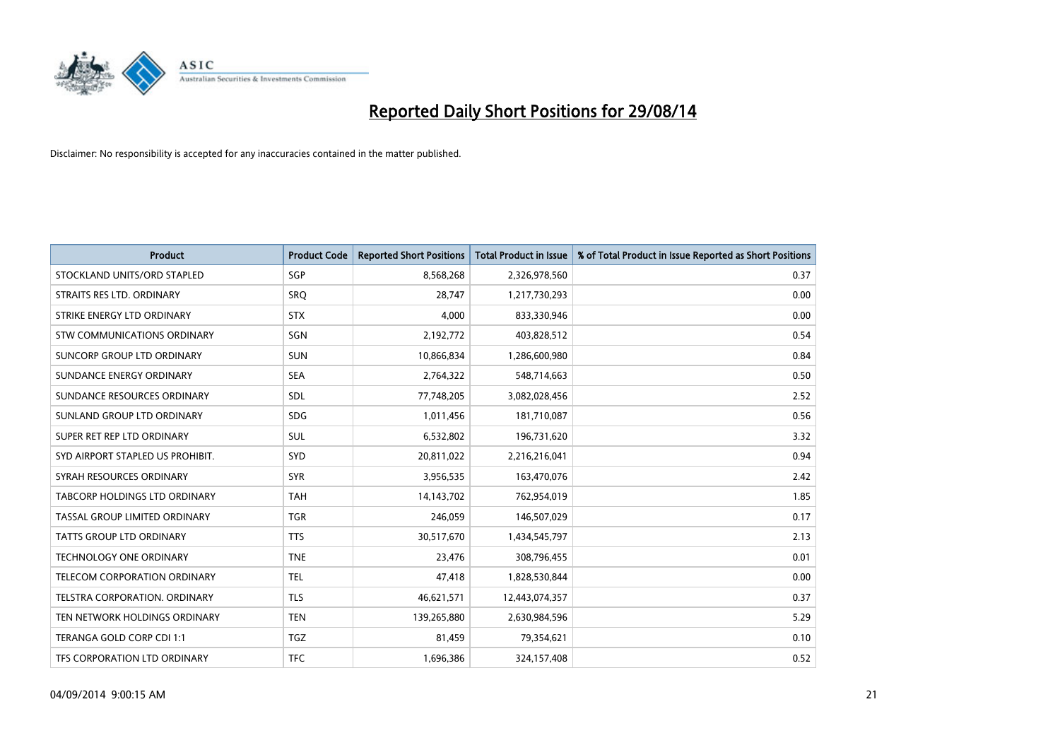

| <b>Product</b>                   | <b>Product Code</b> | <b>Reported Short Positions</b> | <b>Total Product in Issue</b> | % of Total Product in Issue Reported as Short Positions |
|----------------------------------|---------------------|---------------------------------|-------------------------------|---------------------------------------------------------|
| STOCKLAND UNITS/ORD STAPLED      | SGP                 | 8,568,268                       | 2,326,978,560                 | 0.37                                                    |
| STRAITS RES LTD. ORDINARY        | <b>SRQ</b>          | 28,747                          | 1,217,730,293                 | 0.00                                                    |
| STRIKE ENERGY LTD ORDINARY       | <b>STX</b>          | 4.000                           | 833,330,946                   | 0.00                                                    |
| STW COMMUNICATIONS ORDINARY      | SGN                 | 2,192,772                       | 403,828,512                   | 0.54                                                    |
| SUNCORP GROUP LTD ORDINARY       | <b>SUN</b>          | 10,866,834                      | 1,286,600,980                 | 0.84                                                    |
| SUNDANCE ENERGY ORDINARY         | <b>SEA</b>          | 2,764,322                       | 548,714,663                   | 0.50                                                    |
| SUNDANCE RESOURCES ORDINARY      | <b>SDL</b>          | 77,748,205                      | 3,082,028,456                 | 2.52                                                    |
| SUNLAND GROUP LTD ORDINARY       | <b>SDG</b>          | 1,011,456                       | 181,710,087                   | 0.56                                                    |
| SUPER RET REP LTD ORDINARY       | <b>SUL</b>          | 6,532,802                       | 196,731,620                   | 3.32                                                    |
| SYD AIRPORT STAPLED US PROHIBIT. | <b>SYD</b>          | 20,811,022                      | 2,216,216,041                 | 0.94                                                    |
| SYRAH RESOURCES ORDINARY         | <b>SYR</b>          | 3,956,535                       | 163,470,076                   | 2.42                                                    |
| TABCORP HOLDINGS LTD ORDINARY    | <b>TAH</b>          | 14,143,702                      | 762,954,019                   | 1.85                                                    |
| TASSAL GROUP LIMITED ORDINARY    | <b>TGR</b>          | 246,059                         | 146,507,029                   | 0.17                                                    |
| <b>TATTS GROUP LTD ORDINARY</b>  | <b>TTS</b>          | 30,517,670                      | 1,434,545,797                 | 2.13                                                    |
| <b>TECHNOLOGY ONE ORDINARY</b>   | <b>TNE</b>          | 23,476                          | 308,796,455                   | 0.01                                                    |
| TELECOM CORPORATION ORDINARY     | <b>TEL</b>          | 47,418                          | 1,828,530,844                 | 0.00                                                    |
| TELSTRA CORPORATION. ORDINARY    | <b>TLS</b>          | 46,621,571                      | 12,443,074,357                | 0.37                                                    |
| TEN NETWORK HOLDINGS ORDINARY    | <b>TEN</b>          | 139,265,880                     | 2,630,984,596                 | 5.29                                                    |
| TERANGA GOLD CORP CDI 1:1        | <b>TGZ</b>          | 81,459                          | 79,354,621                    | 0.10                                                    |
| TFS CORPORATION LTD ORDINARY     | <b>TFC</b>          | 1,696,386                       | 324,157,408                   | 0.52                                                    |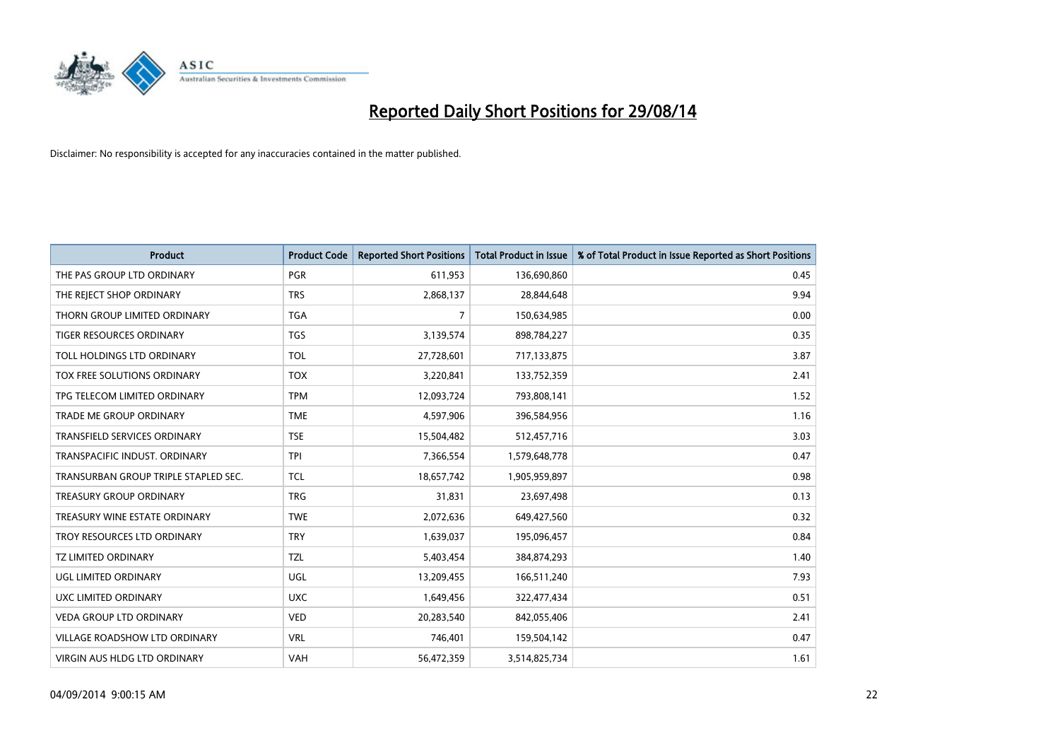

| <b>Product</b>                       | <b>Product Code</b> | <b>Reported Short Positions</b> | <b>Total Product in Issue</b> | % of Total Product in Issue Reported as Short Positions |
|--------------------------------------|---------------------|---------------------------------|-------------------------------|---------------------------------------------------------|
| THE PAS GROUP LTD ORDINARY           | <b>PGR</b>          | 611,953                         | 136,690,860                   | 0.45                                                    |
| THE REJECT SHOP ORDINARY             | <b>TRS</b>          | 2,868,137                       | 28,844,648                    | 9.94                                                    |
| THORN GROUP LIMITED ORDINARY         | <b>TGA</b>          | $\overline{7}$                  | 150,634,985                   | 0.00                                                    |
| TIGER RESOURCES ORDINARY             | <b>TGS</b>          | 3,139,574                       | 898,784,227                   | 0.35                                                    |
| TOLL HOLDINGS LTD ORDINARY           | <b>TOL</b>          | 27,728,601                      | 717,133,875                   | 3.87                                                    |
| TOX FREE SOLUTIONS ORDINARY          | <b>TOX</b>          | 3,220,841                       | 133,752,359                   | 2.41                                                    |
| TPG TELECOM LIMITED ORDINARY         | <b>TPM</b>          | 12,093,724                      | 793,808,141                   | 1.52                                                    |
| TRADE ME GROUP ORDINARY              | <b>TME</b>          | 4,597,906                       | 396,584,956                   | 1.16                                                    |
| <b>TRANSFIELD SERVICES ORDINARY</b>  | <b>TSE</b>          | 15,504,482                      | 512,457,716                   | 3.03                                                    |
| TRANSPACIFIC INDUST, ORDINARY        | <b>TPI</b>          | 7,366,554                       | 1,579,648,778                 | 0.47                                                    |
| TRANSURBAN GROUP TRIPLE STAPLED SEC. | <b>TCL</b>          | 18,657,742                      | 1,905,959,897                 | 0.98                                                    |
| <b>TREASURY GROUP ORDINARY</b>       | <b>TRG</b>          | 31,831                          | 23,697,498                    | 0.13                                                    |
| TREASURY WINE ESTATE ORDINARY        | <b>TWE</b>          | 2,072,636                       | 649,427,560                   | 0.32                                                    |
| TROY RESOURCES LTD ORDINARY          | <b>TRY</b>          | 1,639,037                       | 195,096,457                   | 0.84                                                    |
| <b>TZ LIMITED ORDINARY</b>           | <b>TZL</b>          | 5,403,454                       | 384,874,293                   | 1.40                                                    |
| UGL LIMITED ORDINARY                 | UGL                 | 13,209,455                      | 166,511,240                   | 7.93                                                    |
| UXC LIMITED ORDINARY                 | <b>UXC</b>          | 1,649,456                       | 322,477,434                   | 0.51                                                    |
| VEDA GROUP LTD ORDINARY              | <b>VED</b>          | 20,283,540                      | 842,055,406                   | 2.41                                                    |
| <b>VILLAGE ROADSHOW LTD ORDINARY</b> | <b>VRL</b>          | 746,401                         | 159,504,142                   | 0.47                                                    |
| VIRGIN AUS HLDG LTD ORDINARY         | VAH                 | 56,472,359                      | 3,514,825,734                 | 1.61                                                    |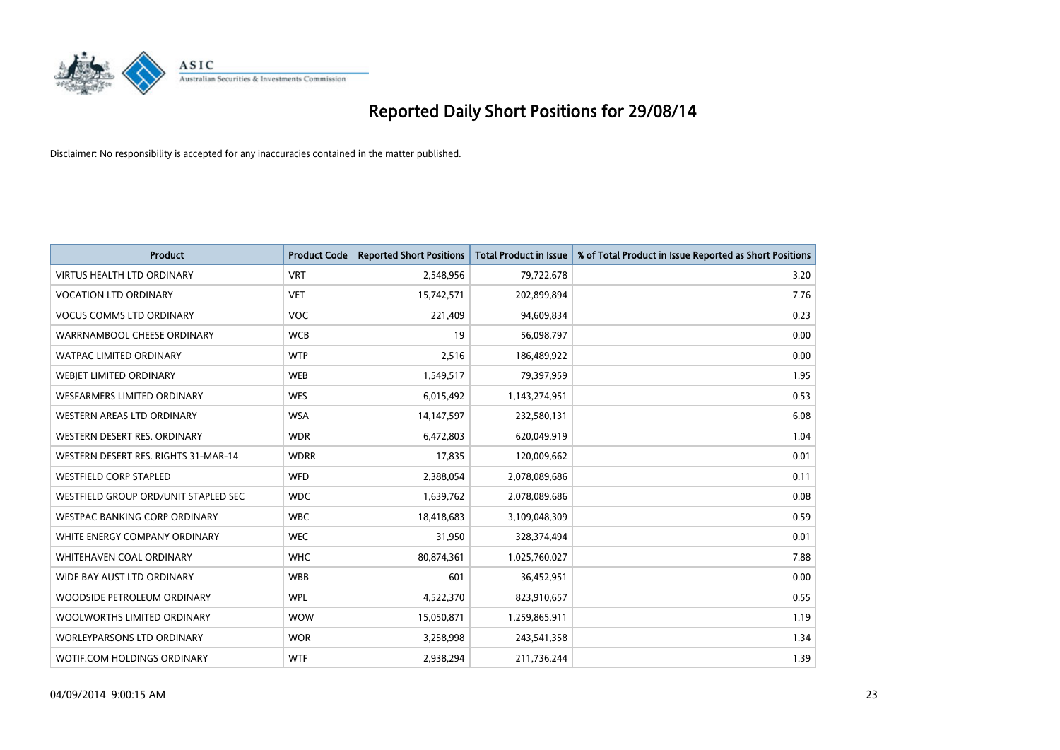

| <b>Product</b>                       | <b>Product Code</b> | <b>Reported Short Positions</b> | <b>Total Product in Issue</b> | % of Total Product in Issue Reported as Short Positions |
|--------------------------------------|---------------------|---------------------------------|-------------------------------|---------------------------------------------------------|
| <b>VIRTUS HEALTH LTD ORDINARY</b>    | <b>VRT</b>          | 2,548,956                       | 79,722,678                    | 3.20                                                    |
| <b>VOCATION LTD ORDINARY</b>         | <b>VET</b>          | 15,742,571                      | 202,899,894                   | 7.76                                                    |
| <b>VOCUS COMMS LTD ORDINARY</b>      | <b>VOC</b>          | 221,409                         | 94,609,834                    | 0.23                                                    |
| WARRNAMBOOL CHEESE ORDINARY          | <b>WCB</b>          | 19                              | 56,098,797                    | 0.00                                                    |
| <b>WATPAC LIMITED ORDINARY</b>       | <b>WTP</b>          | 2,516                           | 186,489,922                   | 0.00                                                    |
| WEBJET LIMITED ORDINARY              | <b>WEB</b>          | 1,549,517                       | 79,397,959                    | 1.95                                                    |
| <b>WESFARMERS LIMITED ORDINARY</b>   | <b>WES</b>          | 6,015,492                       | 1,143,274,951                 | 0.53                                                    |
| WESTERN AREAS LTD ORDINARY           | <b>WSA</b>          | 14,147,597                      | 232,580,131                   | 6.08                                                    |
| WESTERN DESERT RES. ORDINARY         | <b>WDR</b>          | 6,472,803                       | 620,049,919                   | 1.04                                                    |
| WESTERN DESERT RES. RIGHTS 31-MAR-14 | <b>WDRR</b>         | 17,835                          | 120,009,662                   | 0.01                                                    |
| <b>WESTFIELD CORP STAPLED</b>        | <b>WFD</b>          | 2,388,054                       | 2,078,089,686                 | 0.11                                                    |
| WESTFIELD GROUP ORD/UNIT STAPLED SEC | <b>WDC</b>          | 1,639,762                       | 2,078,089,686                 | 0.08                                                    |
| WESTPAC BANKING CORP ORDINARY        | <b>WBC</b>          | 18,418,683                      | 3,109,048,309                 | 0.59                                                    |
| WHITE ENERGY COMPANY ORDINARY        | <b>WEC</b>          | 31,950                          | 328,374,494                   | 0.01                                                    |
| WHITEHAVEN COAL ORDINARY             | <b>WHC</b>          | 80,874,361                      | 1,025,760,027                 | 7.88                                                    |
| WIDE BAY AUST LTD ORDINARY           | <b>WBB</b>          | 601                             | 36,452,951                    | 0.00                                                    |
| WOODSIDE PETROLEUM ORDINARY          | <b>WPL</b>          | 4,522,370                       | 823,910,657                   | 0.55                                                    |
| WOOLWORTHS LIMITED ORDINARY          | <b>WOW</b>          | 15,050,871                      | 1,259,865,911                 | 1.19                                                    |
| <b>WORLEYPARSONS LTD ORDINARY</b>    | <b>WOR</b>          | 3,258,998                       | 243,541,358                   | 1.34                                                    |
| WOTIF.COM HOLDINGS ORDINARY          | <b>WTF</b>          | 2,938,294                       | 211,736,244                   | 1.39                                                    |